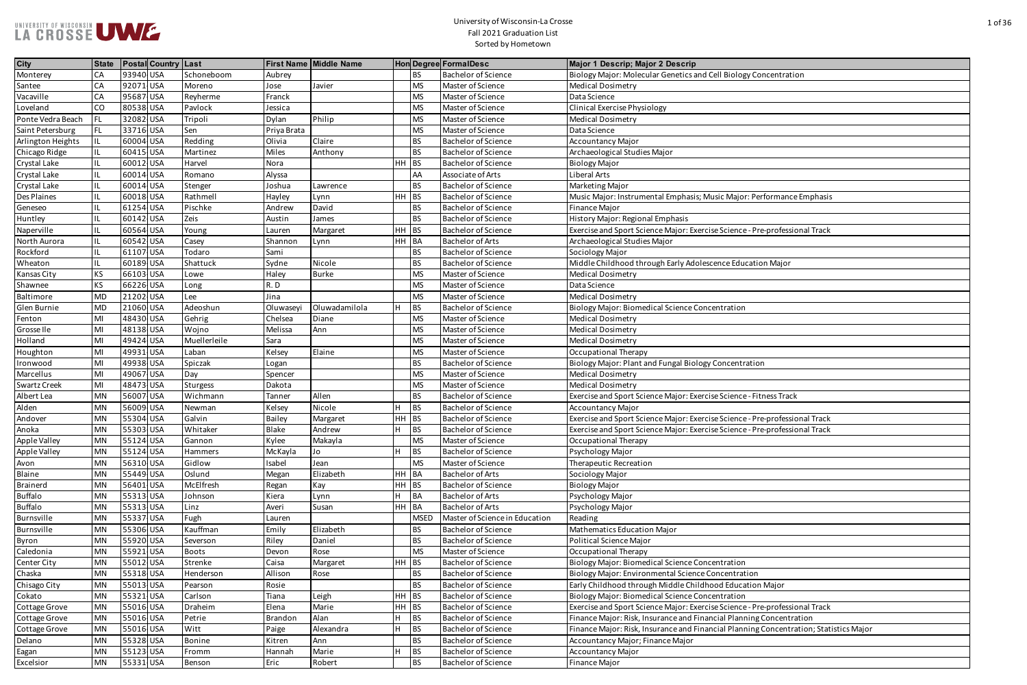| <b>City</b>         | <b>State</b> | <b>Postal Country Last</b> |                 |                | First Name Middle Name |         |             | <b>Hon Degree FormalDesc</b>   | Major 1 Descrip; Major 2 Descrip                                                      |
|---------------------|--------------|----------------------------|-----------------|----------------|------------------------|---------|-------------|--------------------------------|---------------------------------------------------------------------------------------|
| Monterey            | СA           | 93940 USA                  | Schoneboom      | Aubrey         |                        |         | <b>BS</b>   | <b>Bachelor of Science</b>     | Biology Major: Molecular Genetics and Cell Biology Concentration                      |
| Santee              | CA           | 92071 USA                  | Moreno          | Jose           | Javier                 |         | <b>MS</b>   | Master of Science              | <b>Medical Dosimetry</b>                                                              |
| Vacaville           | СA           | 95687 USA                  | Reyherme        | Franck         |                        |         | <b>MS</b>   | Master of Science              | Data Science                                                                          |
| Loveland            | CO           | 80538 USA                  | Pavlock         | Jessica        |                        |         | <b>MS</b>   | Master of Science              | <b>Clinical Exercise Physiology</b>                                                   |
| Ponte Vedra Beach   | FL           | 32082 USA                  | Tripoli         | Dylan          | Philip                 |         | <b>MS</b>   | Master of Science              | <b>Medical Dosimetry</b>                                                              |
| Saint Petersburg    | FL           | 33716 USA                  | Sen             | Priya Brata    |                        |         | <b>MS</b>   | Master of Science              | Data Science                                                                          |
| Arlington Heights   |              | 60004 USA                  | Redding         | Olivia         | Claire                 |         | <b>BS</b>   | <b>Bachelor of Science</b>     | <b>Accountancy Major</b>                                                              |
| Chicago Ridge       |              | 60415 USA                  | Martinez        | Miles          | Anthony                |         | <b>BS</b>   | <b>Bachelor of Science</b>     | Archaeological Studies Major                                                          |
| Crystal Lake        | IL           | 60012 USA                  | Harvel          | Nora           |                        | $HH$ BS |             | <b>Bachelor of Science</b>     | <b>Biology Major</b>                                                                  |
| Crystal Lake        |              | 60014 USA                  | Romano          | Alyssa         |                        |         | AA          | Associate of Arts              | Liberal Arts                                                                          |
| Crystal Lake        |              | 60014 USA                  | Stenger         | Joshua         | Lawrence               |         | <b>BS</b>   | <b>Bachelor of Science</b>     | Marketing Major                                                                       |
| Des Plaines         |              | 60018 USA                  | Rathmell        | Hayley         | Lynn                   | $HH$ BS |             | <b>Bachelor of Science</b>     | Music Major: Instrumental Emphasis; Music Major: Performance Emphasis                 |
| Geneseo             |              | 61254 USA                  | Pischke         | Andrew         | David                  |         | <b>BS</b>   | <b>Bachelor of Science</b>     | Finance Major                                                                         |
| Huntley             | IL.          | 60142 USA                  | Zeis            | Austin         | James                  |         | <b>BS</b>   | <b>Bachelor of Science</b>     | History Major: Regional Emphasis                                                      |
| Naperville          |              | 60564 USA                  | Young           | Lauren         | Margaret               | $HH$ BS |             | <b>Bachelor of Science</b>     | Exercise and Sport Science Major: Exercise Science - Pre-professional Track           |
| North Aurora        |              | 60542 USA                  | Casey           | Shannon        | Lynn                   | HH BA   |             | <b>Bachelor of Arts</b>        | Archaeological Studies Major                                                          |
| Rockford            |              | 61107 USA                  | Todaro          | Sami           |                        |         | <b>BS</b>   | <b>Bachelor of Science</b>     | Sociology Major                                                                       |
| Wheaton             |              | 60189 USA                  | Shattuck        | Sydne          | Nicole                 |         | <b>BS</b>   | <b>Bachelor of Science</b>     | Middle Childhood through Early Adolescence Education Major                            |
| Kansas City         | ΚS           | 66103 USA                  | Lowe            | Haley          | <b>Burke</b>           |         | <b>MS</b>   | Master of Science              | <b>Medical Dosimetry</b>                                                              |
| Shawnee             | KS           | 66226 USA                  | Long            | R.D            |                        |         | <b>MS</b>   | Master of Science              | Data Science                                                                          |
| Baltimore           | <b>MD</b>    | 21202 USA                  | Lee             | Jina           |                        |         | <b>MS</b>   | Master of Science              | <b>Medical Dosimetry</b>                                                              |
| Glen Burnie         | <b>MD</b>    | 21060 USA                  | Adeoshun        | Oluwaseyi      | Oluwadamilola          | H       | <b>BS</b>   | <b>Bachelor of Science</b>     | <b>Biology Major: Biomedical Science Concentration</b>                                |
| Fenton              | MI           | 48430 USA                  | Gehrig          | Chelsea        | Diane                  |         | <b>MS</b>   | Master of Science              | <b>Medical Dosimetry</b>                                                              |
| Grosse Ile          | MI           | 48138 USA                  | Wojno           | Melissa        | Ann                    |         | <b>MS</b>   | Master of Science              | <b>Medical Dosimetry</b>                                                              |
| Holland             | MI           | 49424 USA                  | Muellerleile    | Sara           |                        |         | <b>MS</b>   | Master of Science              | <b>Medical Dosimetry</b>                                                              |
| Houghton            | MI           | 49931 USA                  | Laban           | Kelsey         | Elaine                 |         | <b>MS</b>   | Master of Science              | Occupational Therapy                                                                  |
| Ironwood            | MI           | 49938 USA                  | Spiczak         | Logan          |                        |         | <b>BS</b>   | <b>Bachelor of Science</b>     | Biology Major: Plant and Fungal Biology Concentration                                 |
| Marcellus           | MI           | 49067 USA                  | Day             | Spencer        |                        |         | <b>MS</b>   | Master of Science              | <b>Medical Dosimetry</b>                                                              |
| <b>Swartz Creek</b> | MI           | 48473 USA                  | <b>Sturgess</b> | Dakota         |                        |         | <b>MS</b>   | Master of Science              | <b>Medical Dosimetry</b>                                                              |
| Albert Lea          | <b>MN</b>    | 56007 USA                  | Wichmann        | Tanner         | Allen                  |         | <b>BS</b>   | <b>Bachelor of Science</b>     | Exercise and Sport Science Major: Exercise Science - Fitness Track                    |
| Alden               | <b>MN</b>    | 56009 USA                  | Newman          | Kelsey         | Nicole                 | H       | BS          | <b>Bachelor of Science</b>     | <b>Accountancy Major</b>                                                              |
| Andover             | <b>MN</b>    | 55304 USA                  | Galvin          | <b>Bailey</b>  | Margaret               | HH BS   |             | <b>Bachelor of Science</b>     | Exercise and Sport Science Major: Exercise Science - Pre-professional Track           |
| Anoka               | <b>MN</b>    | 55303 USA                  | Whitaker        | Blake          | Andrew                 |         | <b>BS</b>   | <b>Bachelor of Science</b>     | Exercise and Sport Science Major: Exercise Science - Pre-professional Track           |
| Apple Valley        | <b>MN</b>    | 55124 USA                  | Gannon          | Kylee          | Makayla                |         | <b>MS</b>   | Master of Science              | Occupational Therapy                                                                  |
| Apple Valley        | <b>MN</b>    | 55124 USA                  | Hammers         | McKayla        | Jo                     | H       | BS          | <b>Bachelor of Science</b>     | Psychology Major                                                                      |
| Avon                | <b>MN</b>    | 56310 USA                  | Gidlow          | Isabel         | Jean                   |         | <b>MS</b>   | Master of Science              | Therapeutic Recreation                                                                |
| Blaine              | <b>MN</b>    | 55449 USA                  | Oslund          | Megan          | Elizabeth              | HH BA   |             | <b>Bachelor of Arts</b>        | Sociology Major                                                                       |
| Brainerd            | <b>MN</b>    | 56401 USA                  | McElfresh       | Regan          | Kay                    | $HH$ BS |             | <b>Bachelor of Science</b>     | <b>Biology Major</b>                                                                  |
| <b>Buffalo</b>      | <b>MN</b>    | 55313 USA                  | Johnson         | Kiera          | Lynn                   | H.      | <b>BA</b>   | <b>Bachelor of Arts</b>        | Psychology Major                                                                      |
| <b>Buffalo</b>      | <b>MN</b>    | 55313 USA                  | Linz            | Averi          | Susan                  | HH BA   |             | <b>Bachelor of Arts</b>        | Psychology Major                                                                      |
| Burnsville          | <b>MN</b>    | 55337 USA                  | Fugh            | Lauren         |                        |         | <b>MSED</b> | Master of Science in Education | Reading                                                                               |
| Burnsville          | <b>MN</b>    | 55306 USA                  | Kauffman        | Emily          | Elizabeth              |         | <b>BS</b>   | <b>Bachelor of Science</b>     | <b>Mathematics Education Major</b>                                                    |
| Byron               | <b>MN</b>    | 55920 USA                  | Severson        | Riley          | Daniel                 |         | <b>BS</b>   | <b>Bachelor of Science</b>     | <b>Political Science Major</b>                                                        |
| Caledonia           | <b>MN</b>    | 55921 USA                  | <b>Boots</b>    | Devon          | Rose                   |         | <b>MS</b>   | Master of Science              | Occupational Therapy                                                                  |
| Center City         | <b>MN</b>    | 55012 USA                  | Strenke         | Caisa          | Margaret               | $HH$ BS |             | <b>Bachelor of Science</b>     | Biology Major: Biomedical Science Concentration                                       |
| Chaska              | <b>MN</b>    | 55318 USA                  | Henderson       | Allison        | Rose                   |         | <b>BS</b>   | <b>Bachelor of Science</b>     | Biology Major: Environmental Science Concentration                                    |
| Chisago City        | <b>MN</b>    | 55013 USA                  | Pearson         | Rosie          |                        |         | <b>BS</b>   | <b>Bachelor of Science</b>     | Early Childhood through Middle Childhood Education Major                              |
| Cokato              | <b>MN</b>    | 55321 USA                  | Carlson         | Tiana          | Leigh                  | $HH$ BS |             | <b>Bachelor of Science</b>     | Biology Major: Biomedical Science Concentration                                       |
| Cottage Grove       | <b>MN</b>    | 55016 USA                  | Draheim         | Elena          | Marie                  | $HH$ BS |             | <b>Bachelor of Science</b>     | Exercise and Sport Science Major: Exercise Science - Pre-professional Track           |
| Cottage Grove       | <b>MN</b>    | 55016 USA                  | Petrie          | <b>Brandon</b> | Alan                   | H       | BS          | <b>Bachelor of Science</b>     | Finance Major: Risk, Insurance and Financial Planning Concentration                   |
| Cottage Grove       | <b>MN</b>    | 55016 USA                  | Witt            | Paige          | Alexandra              | н       | <b>BS</b>   | <b>Bachelor of Science</b>     | Finance Major: Risk, Insurance and Financial Planning Concentration; Statistics Major |
| Delano              | <b>MN</b>    | 55328 USA                  | Bonine          | Kitren         | Ann                    |         | <b>BS</b>   | <b>Bachelor of Science</b>     | Accountancy Major; Finance Major                                                      |
| Eagan               | <b>MN</b>    | 55123 USA                  | Fromm           | Hannah         | Marie                  | H       | BS          | <b>Bachelor of Science</b>     | <b>Accountancy Major</b>                                                              |
| Excelsior           | <b>MN</b>    | 55331 USA                  | Benson          | Eric           | Robert                 |         | <b>BS</b>   | <b>Bachelor of Science</b>     | Finance Major                                                                         |
|                     |              |                            |                 |                |                        |         |             |                                |                                                                                       |

| Cell Biology Concentration                     |
|------------------------------------------------|
|                                                |
|                                                |
|                                                |
|                                                |
|                                                |
|                                                |
|                                                |
|                                                |
|                                                |
| usic Major: Performance Emphasis               |
|                                                |
|                                                |
| se Science - Pre-professional Track            |
|                                                |
|                                                |
| cence Education Major                          |
|                                                |
|                                                |
|                                                |
| centration                                     |
|                                                |
|                                                |
|                                                |
|                                                |
| Concentration                                  |
|                                                |
|                                                |
| se Science - Fitness Track                     |
|                                                |
| se Science - Pre-professional Track            |
| se Science - Pre-professional Track            |
|                                                |
|                                                |
|                                                |
|                                                |
|                                                |
|                                                |
|                                                |
|                                                |
|                                                |
|                                                |
|                                                |
| centration                                     |
| concentration                                  |
| ood Education Major                            |
| centration                                     |
| se Science - Pre-professional Track            |
| ncial Planning Concentration                   |
| ncial Planning Concentration; Statistics Major |
|                                                |
|                                                |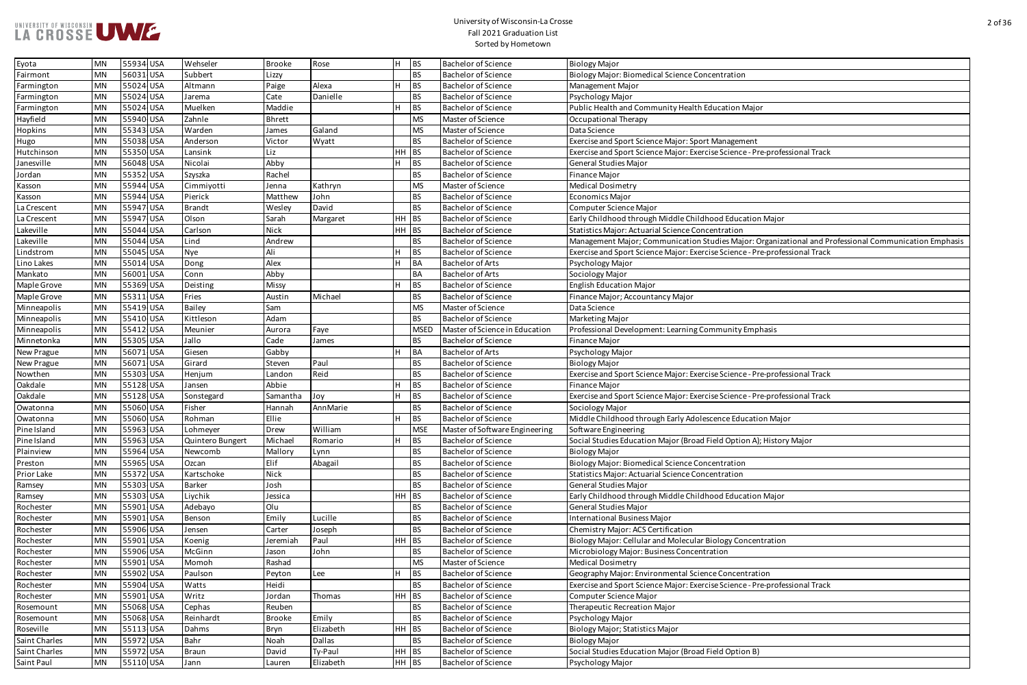| entration                                                          |
|--------------------------------------------------------------------|
|                                                                    |
|                                                                    |
| ucation Major                                                      |
|                                                                    |
|                                                                    |
| <b>Management</b>                                                  |
| e Science - Pre-professional Track                                 |
|                                                                    |
|                                                                    |
|                                                                    |
|                                                                    |
|                                                                    |
| od Education Major                                                 |
| ntration                                                           |
| dies Major: Organizational and Professional Communication Emphasis |
| e Science - Pre-professional Track                                 |
|                                                                    |
|                                                                    |
|                                                                    |
|                                                                    |
|                                                                    |
|                                                                    |
| munity Emphasis                                                    |
|                                                                    |
|                                                                    |
| e Science - Pre-professional Track                                 |
|                                                                    |
| e Science - Pre-professional Track                                 |
|                                                                    |
| ence Education Major                                               |
|                                                                    |
| eld Option A); History Major                                       |
|                                                                    |
| entration                                                          |
| ntration                                                           |
|                                                                    |
| od Education Major                                                 |
|                                                                    |
|                                                                    |
|                                                                    |
| ology Concentration                                                |
| tion                                                               |
|                                                                    |
| e Concentration                                                    |
| e Science - Pre-professional Track                                 |
|                                                                    |
|                                                                    |
|                                                                    |
|                                                                    |
|                                                                    |
| eld Option B)                                                      |
|                                                                    |

| Eyota         | MN        | 55934 USA | Wehseler         | Brooke      | Rose          | BS<br>H     | <b>Bachelor of Science</b>     | <b>Biology Major</b>                                                                                  |
|---------------|-----------|-----------|------------------|-------------|---------------|-------------|--------------------------------|-------------------------------------------------------------------------------------------------------|
| Fairmont      | <b>MN</b> | 56031 USA | Subbert          | Lizzy       |               | <b>BS</b>   | <b>Bachelor of Science</b>     | Biology Major: Biomedical Science Concentration                                                       |
| Farmington    | <b>MN</b> | 55024 USA | Altmann          | Paige       | Alexa         | <b>BS</b>   | <b>Bachelor of Science</b>     | Management Major                                                                                      |
| Farmington    | <b>MN</b> | 55024 USA | Jarema           | Cate        | Danielle      | <b>BS</b>   | <b>Bachelor of Science</b>     | Psychology Major                                                                                      |
| Farmington    | <b>MN</b> | 55024 USA | Muelken          | Maddie      |               | <b>BS</b>   | <b>Bachelor of Science</b>     | Public Health and Community Health Education Major                                                    |
| Hayfield      | <b>MN</b> | 55940 USA | Zahnle           | Bhrett      |               | <b>MS</b>   | Master of Science              | Occupational Therapy                                                                                  |
| Hopkins       | <b>MN</b> | 55343 USA | Warden           | James       | Galand        | MS          | Master of Science              | Data Science                                                                                          |
| Hugo          | <b>MN</b> | 55038 USA | Anderson         | Victor      | Wyatt         | <b>BS</b>   | <b>Bachelor of Science</b>     | Exercise and Sport Science Major: Sport Management                                                    |
| Hutchinson    | <b>MN</b> | 55350 USA | Lansink          | Liz         |               | HH BS       | <b>Bachelor of Science</b>     | Exercise and Sport Science Major: Exercise Science - Pre-professional Track                           |
| Janesville    | <b>MN</b> | 56048 USA | Nicolai          | Abby        |               | <b>BS</b>   | <b>Bachelor of Science</b>     | General Studies Major                                                                                 |
| Jordan        | <b>MN</b> | 55352 USA | Szyszka          | Rachel      |               | <b>BS</b>   | <b>Bachelor of Science</b>     | <b>Finance Major</b>                                                                                  |
| Kasson        | <b>MN</b> | 55944 USA | Cimmiyotti       | Jenna       | Kathryn       | MS          | Master of Science              | <b>Medical Dosimetry</b>                                                                              |
| Kasson        | MN        | 55944 USA | Pierick          | Matthew     | John          | <b>BS</b>   | <b>Bachelor of Science</b>     | <b>Economics Major</b>                                                                                |
| La Crescent   | <b>MN</b> | 55947 USA | <b>Brandt</b>    | Wesley      | David         | <b>BS</b>   | <b>Bachelor of Science</b>     | Computer Science Major                                                                                |
| La Crescent   | <b>MN</b> | 55947 USA | Olson            | Sarah       | Margaret      | HH BS       | <b>Bachelor of Science</b>     | Early Childhood through Middle Childhood Education Major                                              |
| Lakeville     | <b>MN</b> | 55044 USA | Carlson          | Nick        |               | HH<br>BS    | <b>Bachelor of Science</b>     | <b>Statistics Major: Actuarial Science Concentration</b>                                              |
| Lakeville     | <b>MN</b> | 55044 USA | Lind             | Andrew      |               | <b>BS</b>   | <b>Bachelor of Science</b>     | Management Major; Communication Studies Major: Organizational and Professional Communication Emphasis |
| Lindstrom     | MN        | 55045 USA | Nye              | Ali         |               | <b>BS</b>   | <b>Bachelor of Science</b>     | Exercise and Sport Science Major: Exercise Science - Pre-professional Track                           |
| Lino Lakes    | <b>MN</b> | 55014 USA | Dong             | Alex        |               | <b>BA</b>   | <b>Bachelor of Arts</b>        | Psychology Major                                                                                      |
| Mankato       | <b>MN</b> | 56001 USA | Conn             | Abby        |               | <b>BA</b>   | <b>Bachelor of Arts</b>        | Sociology Major                                                                                       |
| Maple Grove   | <b>MN</b> | 55369 USA | Deisting         | Missy       |               | <b>BS</b>   | <b>Bachelor of Science</b>     | <b>English Education Major</b>                                                                        |
| Maple Grove   | <b>MN</b> | 55311 USA | Fries            | Austin      | Michael       | <b>BS</b>   | <b>Bachelor of Science</b>     | Finance Major; Accountancy Major                                                                      |
| Minneapolis   | <b>MN</b> | 55419USA  | <b>Bailey</b>    | Sam         |               | <b>MS</b>   | Master of Science              | Data Science                                                                                          |
| Minneapolis   | <b>MN</b> | 55410 USA | Kittleson        | Adam        |               | <b>BS</b>   | <b>Bachelor of Science</b>     | <b>Marketing Major</b>                                                                                |
| Minneapolis   | <b>MN</b> | 55412 USA | Meunier          | Aurora      | Faye          | <b>MSED</b> | Master of Science in Education | Professional Development: Learning Community Emphasis                                                 |
| Minnetonka    | MN        | 55305 USA | Jallo            | Cade        | James         | <b>BS</b>   | <b>Bachelor of Science</b>     | Finance Major                                                                                         |
| New Prague    | <b>MN</b> | 56071 USA | Giesen           | Gabby       |               | <b>BA</b>   | <b>Bachelor of Arts</b>        | Psychology Major                                                                                      |
| New Prague    | <b>MN</b> | 56071 USA | Girard           | Steven      | Paul          | <b>BS</b>   | <b>Bachelor of Science</b>     | <b>Biology Major</b>                                                                                  |
| Nowthen       | <b>MN</b> | 55303 USA | Henjum           | Landon      | Reid          | <b>BS</b>   | Bachelor of Science            | Exercise and Sport Science Major: Exercise Science - Pre-professional Track                           |
| Oakdale       | <b>MN</b> | 55128 USA | Jansen           | Abbie       |               | <b>BS</b>   | <b>Bachelor of Science</b>     | <b>Finance Major</b>                                                                                  |
| Oakdale       | <b>MN</b> | 55128 USA | Sonstegard       | Samantha    | Joy           | <b>BS</b>   | <b>Bachelor of Science</b>     | Exercise and Sport Science Major: Exercise Science - Pre-professional Track                           |
| Owatonna      | <b>MN</b> | 55060 USA | Fisher           | Hannah      | AnnMarie      | <b>BS</b>   | <b>Bachelor of Science</b>     | Sociology Major                                                                                       |
| Owatonna      | MN        | 55060 USA | Rohman           | Ellie       |               | <b>BS</b>   | <b>Bachelor of Science</b>     | Middle Childhood through Early Adolescence Education Major                                            |
| Pine Island   | <b>MN</b> | 55963 USA | Lohmeyer         | Drew        | William       | <b>MSE</b>  | Master of Software Engineering | Software Engineering                                                                                  |
| Pine Island   | <b>MN</b> | 55963 USA | Quintero Bungert | Michael     | Romario       | <b>BS</b>   | <b>Bachelor of Science</b>     | Social Studies Education Major (Broad Field Option A); History Major                                  |
| Plainview     | <b>MN</b> | 55964 USA | Newcomb          | Mallory     | Lynn          | <b>BS</b>   | <b>Bachelor of Science</b>     | <b>Biology Major</b>                                                                                  |
| Preston       | <b>MN</b> | 55965 USA | Ozcan            | Elif        | Abagail       | <b>BS</b>   | <b>Bachelor of Science</b>     | Biology Major: Biomedical Science Concentration                                                       |
| Prior Lake    | <b>MN</b> | 55372 USA | Kartschoke       | <b>Nick</b> |               | <b>BS</b>   | <b>Bachelor of Science</b>     | <b>Statistics Major: Actuarial Science Concentration</b>                                              |
| Ramsey        | <b>MN</b> | 55303 USA | <b>Barker</b>    | Josh        |               | <b>BS</b>   | <b>Bachelor of Science</b>     | General Studies Major                                                                                 |
| Ramsey        | <b>MN</b> | 55303 USA | Liychik          | Jessica     |               | HH<br>BS    | <b>Bachelor of Science</b>     | Early Childhood through Middle Childhood Education Major                                              |
| Rochester     | <b>MN</b> | 55901 USA | Adebayo          | Olu         |               | <b>BS</b>   | <b>Bachelor of Science</b>     | General Studies Major                                                                                 |
| Rochester     | <b>MN</b> | 55901 USA | Benson           | Emily       | Lucille       | <b>BS</b>   | <b>Bachelor of Science</b>     | International Business Major                                                                          |
| Rochester     | <b>MN</b> | 55906 USA | Jensen           | Carter      | Joseph        | <b>BS</b>   | <b>Bachelor of Science</b>     | Chemistry Major: ACS Certification                                                                    |
| Rochester     | <b>MN</b> | 55901 USA | Koenig           | Jeremiah    | Paul          | HH BS       | <b>Bachelor of Science</b>     | Biology Major: Cellular and Molecular Biology Concentration                                           |
| Rochester     | <b>MN</b> | 55906 USA | McGinn           | Jason       | John          | <b>BS</b>   | <b>Bachelor of Science</b>     | Microbiology Major: Business Concentration                                                            |
| Rochester     | <b>MN</b> | 55901 USA | Momoh            | Rashad      |               | <b>MS</b>   | Master of Science              | <b>Medical Dosimetry</b>                                                                              |
| Rochester     | <b>MN</b> | 55902 USA | Paulson          | Peyton      | Lee           | <b>BS</b>   | <b>Bachelor of Science</b>     | Geography Major: Environmental Science Concentration                                                  |
| Rochester     | <b>MN</b> | 55904 USA | Watts            | Heidi       |               | <b>BS</b>   | <b>Bachelor of Science</b>     | Exercise and Sport Science Major: Exercise Science - Pre-professional Track                           |
| Rochester     | <b>MN</b> | 55901 USA | Writz            | Jordan      | Thomas        | HH<br>BS    | <b>Bachelor of Science</b>     | Computer Science Major                                                                                |
| Rosemount     | <b>MN</b> | 55068 USA | Cephas           | Reuben      |               | <b>BS</b>   | <b>Bachelor of Science</b>     | Therapeutic Recreation Major                                                                          |
| Rosemount     | MN        | 55068 USA | Reinhardt        | Brooke      | Emily         | <b>BS</b>   | <b>Bachelor of Science</b>     | Psychology Major                                                                                      |
| Roseville     | <b>MN</b> | 55113 USA | Dahms            | Bryn        | Elizabeth     | HH<br>BS    | <b>Bachelor of Science</b>     | Biology Major; Statistics Major                                                                       |
| Saint Charles | <b>MN</b> | 55972 USA | Bahr             | Noah        | <b>Dallas</b> | <b>BS</b>   | <b>Bachelor of Science</b>     | <b>Biology Major</b>                                                                                  |
| Saint Charles | <b>MN</b> | 55972 USA | <b>Braun</b>     | David       | Ty-Paul       | $HH$ BS     | <b>Bachelor of Science</b>     | Social Studies Education Major (Broad Field Option B)                                                 |
| Saint Paul    | <b>MN</b> | 55110 USA | Jann             | Lauren      | Elizabeth     | $HH$ BS     | <b>Bachelor of Science</b>     | Psychology Major                                                                                      |
|               |           |           |                  |             |               |             |                                |                                                                                                       |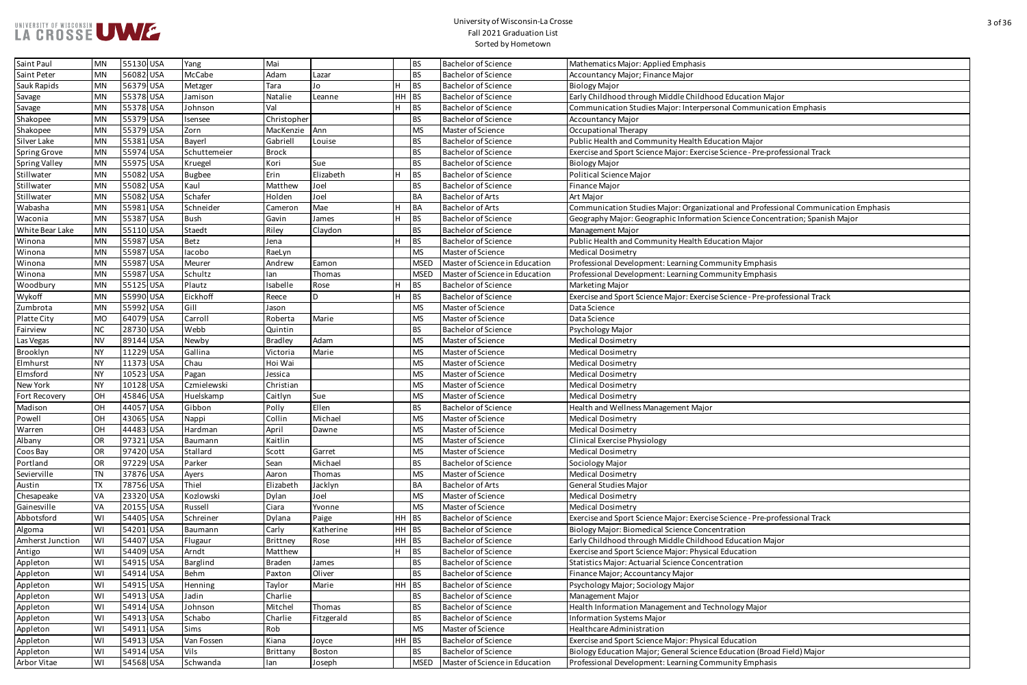| ood Education Major                             |
|-------------------------------------------------|
| sonal Communication Emphasis                    |
|                                                 |
|                                                 |
| ucation Major                                   |
| se Science - Pre-professional Track             |
|                                                 |
|                                                 |
|                                                 |
| ational and Professional Communication Emphasis |
| on Science Concentration; Spanish Major         |
|                                                 |
| ucation Major                                   |
|                                                 |
| nmunity Emphasis                                |
| nmunity Emphasis                                |
|                                                 |
| se Science - Pre-professional Track             |
|                                                 |
|                                                 |
|                                                 |
|                                                 |
|                                                 |
|                                                 |
|                                                 |
|                                                 |
|                                                 |
|                                                 |
|                                                 |
|                                                 |
|                                                 |
|                                                 |
|                                                 |
|                                                 |
|                                                 |
|                                                 |
| se Science - Pre-professional Track             |
| entration                                       |
| ood Education Major                             |
| al Education                                    |
| entration                                       |
|                                                 |
|                                                 |
|                                                 |
| chnology Major                                  |
|                                                 |
|                                                 |
| al Education                                    |
| e Education (Broad Field) Major                 |
| nmunity Emphasis                                |

| Saint Paul           | <b>MN</b> | 55130 USA | Yang          | Mai            |             |       | <b>BS</b>   | <b>Bachelor of Science</b>     | Mathematics Major: Applied Emphasis                                                 |
|----------------------|-----------|-----------|---------------|----------------|-------------|-------|-------------|--------------------------------|-------------------------------------------------------------------------------------|
| Saint Peter          | <b>MN</b> | 56082 USA | McCabe        | Adam           | Lazar       |       | <b>BS</b>   | <b>Bachelor of Science</b>     | Accountancy Major; Finance Major                                                    |
| Sauk Rapids          | <b>MN</b> | 56379 USA | Metzger       | Tara           | Jo          |       | <b>BS</b>   | <b>Bachelor of Science</b>     | <b>Biology Major</b>                                                                |
| Savage               | <b>MN</b> | 55378 USA | Jamison       | Natalie        | Leanne      | HH BS |             | <b>Bachelor of Science</b>     | Early Childhood through Middle Childhood Education Major                            |
| Savage               | <b>MN</b> | 55378 USA | Johnson       | Val            |             |       | BS          | <b>Bachelor of Science</b>     | Communication Studies Major: Interpersonal Communication Emphasis                   |
| Shakopee             | <b>MN</b> | 55379 USA | Isensee       | Christopher    |             |       | <b>BS</b>   | <b>Bachelor of Science</b>     | <b>Accountancy Major</b>                                                            |
| Shakopee             | <b>MN</b> | 55379 USA | Zorn          | MacKenzie      | <b>IAnn</b> |       | <b>MS</b>   | Master of Science              | Occupational Therapy                                                                |
| Silver Lake          | <b>MN</b> | 55381 USA | Bayerl        | Gabriell       | Louise      |       | <b>BS</b>   | <b>Bachelor of Science</b>     | Public Health and Community Health Education Major                                  |
| <b>Spring Grove</b>  | <b>MN</b> | 55974 USA | Schuttemeier  | <b>Brock</b>   |             |       | <b>BS</b>   | <b>Bachelor of Science</b>     | Exercise and Sport Science Major: Exercise Science - Pre-professional Track         |
| <b>Spring Valley</b> | <b>MN</b> | 55975 USA | Kruegel       | Kori           | Sue         |       | <b>BS</b>   | <b>Bachelor of Science</b>     | <b>Biology Major</b>                                                                |
| Stillwater           | <b>MN</b> | 55082 USA | <b>Bugbee</b> | Erin           | Elizabeth   |       | <b>BS</b>   | <b>Bachelor of Science</b>     | <b>Political Science Major</b>                                                      |
| Stillwater           | <b>MN</b> | 55082 USA | Kaul          | Matthew        | Joel        |       | <b>BS</b>   | <b>Bachelor of Science</b>     | <b>Finance Major</b>                                                                |
| Stillwater           | <b>MN</b> | 55082 USA | Schafer       | Holden         | Joel        |       | <b>BA</b>   | <b>Bachelor of Arts</b>        | Art Major                                                                           |
| Wabasha              | <b>MN</b> | 55981 USA | Schneider     | Cameror        | Mae         |       | <b>BA</b>   | <b>Bachelor of Arts</b>        | Communication Studies Major: Organizational and Professional Communication Emphasis |
| Waconia              | <b>MN</b> | 55387 USA | <b>Bush</b>   | Gavin          | James       |       | <b>BS</b>   | <b>Bachelor of Science</b>     | Geography Major: Geographic Information Science Concentration; Spanish Major        |
| White Bear Lake      | <b>MN</b> | 55110 USA | Staedt        | Riley          | Claydon     |       | <b>BS</b>   | <b>Bachelor of Science</b>     | Management Major                                                                    |
| Winona               | <b>MN</b> | 55987 USA | Betz          | Jena           |             |       | <b>BS</b>   | <b>Bachelor of Science</b>     | Public Health and Community Health Education Major                                  |
| Winona               | <b>MN</b> | 55987 USA | lacobo        | RaeLyn         |             |       | <b>MS</b>   | Master of Science              | <b>Medical Dosimetry</b>                                                            |
| Winona               | <b>MN</b> | 55987 USA | Meurer        | Andrew         | Eamon       |       | <b>MSED</b> | Master of Science in Education | Professional Development: Learning Community Emphasis                               |
| Winona               | <b>MN</b> | 55987 USA | Schultz       | lan            | Thomas      |       | <b>MSED</b> | Master of Science in Education | Professional Development: Learning Community Emphasis                               |
| Woodbury             | <b>MN</b> | 55125 USA | Plautz        | Isabelle       | Rose        |       | <b>BS</b>   | <b>Bachelor of Science</b>     | Marketing Major                                                                     |
| Wykoff               | <b>MN</b> | 55990 USA | Eickhoff      | Reece          | D           |       | <b>BS</b>   | <b>Bachelor of Science</b>     | Exercise and Sport Science Major: Exercise Science - Pre-professional Track         |
| Zumbrota             | <b>MN</b> | 55992 USA | Gill          | Jason          |             |       | <b>MS</b>   | Master of Science              | Data Science                                                                        |
| Platte City          | <b>MO</b> | 64079 USA | Carroll       | Roberta        | Marie       |       | <b>MS</b>   | Master of Science              | Data Science                                                                        |
| Fairview             | <b>NC</b> | 28730 USA | Webb          | Quintin        |             |       | <b>BS</b>   | <b>Bachelor of Science</b>     | Psychology Major                                                                    |
| Las Vegas            | NV        | 89144 USA | Newby         | <b>Bradley</b> | Adam        |       | <b>MS</b>   | Master of Science              | <b>Medical Dosimetry</b>                                                            |
| Brooklyn             | <b>NY</b> | 11229 USA | Gallina       | Victoria       | Marie       |       | <b>MS</b>   | Master of Science              | <b>Medical Dosimetry</b>                                                            |
| Elmhurst             | <b>NY</b> | 11373 USA | Chau          | Hoi Wai        |             |       | <b>MS</b>   | Master of Science              | <b>Medical Dosimetry</b>                                                            |
| Elmsford             | <b>NY</b> | 10523 USA | Pagan         | Jessica        |             |       | <b>MS</b>   | Master of Science              | <b>Medical Dosimetry</b>                                                            |
| New York             | <b>NY</b> | 10128 USA | Czmielewski   | Christian      |             |       | <b>MS</b>   | Master of Science              | <b>Medical Dosimetry</b>                                                            |
| Fort Recovery        | OH        | 45846 USA | Huelskamp     | Caitlyn        | Sue         |       | <b>MS</b>   | Master of Science              | <b>Medical Dosimetry</b>                                                            |
| Madison              | OH        | 44057 USA | Gibbon        | Polly          | Ellen       |       | <b>BS</b>   | <b>Bachelor of Science</b>     | Health and Wellness Management Major                                                |
| Powell               | <b>OH</b> | 43065 USA | Nappi         | Collin         | Michael     |       | <b>MS</b>   | Master of Science              | <b>Medical Dosimetry</b>                                                            |
| Warren               | OH        | 44483 USA | Hardman       | April          | Dawne       |       | <b>MS</b>   | Master of Science              | <b>Medical Dosimetry</b>                                                            |
| Albany               | OR        | 97321 USA | Baumann       | Kaitlin        |             |       | <b>MS</b>   | Master of Science              | <b>Clinical Exercise Physiology</b>                                                 |
| Coos Bay             | OR        | 97420 USA | Stallard      | Scott          | Garret      |       | <b>MS</b>   | Master of Science              | <b>Medical Dosimetry</b>                                                            |
| Portland             | OR        | 97229 USA | Parker        | Sean           | Michael     |       | <b>BS</b>   | <b>Bachelor of Science</b>     | Sociology Major                                                                     |
| Sevierville          | ΤN        | 37876 USA | Ayers         | Aaron          | Thomas      |       | <b>MS</b>   | Master of Science              | <b>Medical Dosimetry</b>                                                            |
| Austin               | TX        | 78756 USA | Thiel         | Elizabeth      | Jacklyn     |       | <b>BA</b>   | <b>Bachelor of Arts</b>        | <b>General Studies Major</b>                                                        |
| Chesapeake           | VA        | 23320 USA | Kozlowski     | Dylan          | Joel        |       | <b>MS</b>   | Master of Science              | <b>Medical Dosimetry</b>                                                            |
| Gainesville          | VA        | 20155 USA | Russell       | Ciara          | Yvonne      |       | <b>MS</b>   | Master of Science              | <b>Medical Dosimetry</b>                                                            |
| Abbotsford           | WI        | 54405 USA | Schreiner     | Dylana         | Paige       | HH BS |             | <b>Bachelor of Science</b>     | Exercise and Sport Science Major: Exercise Science - Pre-professional Track         |
| Algoma               | WI        | 54201 USA | Baumann       | Carly          | Katherine   | HH BS |             | <b>Bachelor of Science</b>     | Biology Major: Biomedical Science Concentration                                     |
| Amherst Junction     | WI        | 54407 USA | Flugaur       | Brittney       | Rose        | HH BS |             | <b>Bachelor of Science</b>     | Early Childhood through Middle Childhood Education Major                            |
| Antigo               | WI        | 54409 USA | Arndt         | Matthew        |             |       | BS          | <b>Bachelor of Science</b>     | Exercise and Sport Science Major: Physical Education                                |
| Appleton             | WI        | 54915 USA | Barglind      | Braden         | James       |       | <b>BS</b>   | <b>Bachelor of Science</b>     | <b>Statistics Major: Actuarial Science Concentration</b>                            |
| Appleton             | WI        | 54914 USA | Behm          | Paxton         | Oliver      |       | <b>BS</b>   | <b>Bachelor of Science</b>     | Finance Major; Accountancy Major                                                    |
| Appleton             | WI        | 54915 USA | Henning       | Taylor         | Marie       | HH BS |             | <b>Bachelor of Science</b>     | Psychology Major; Sociology Major                                                   |
| Appleton             | WI        | 54913 USA | Jadin         | Charlie        |             |       | <b>BS</b>   | <b>Bachelor of Science</b>     | Management Major                                                                    |
| Appleton             | WI        | 54914 USA | Johnson       | Mitchel        | Thomas      |       | <b>BS</b>   | <b>Bachelor of Science</b>     | Health Information Management and Technology Major                                  |
| Appleton             | WI        | 54913 USA | Schabo        | Charlie        | Fitzgerald  |       | <b>BS</b>   | <b>Bachelor of Science</b>     | Information Systems Major                                                           |
| Appleton             | WI        | 54911 USA | Sims          | Rob            |             |       | <b>MS</b>   | Master of Science              | Healthcare Administration                                                           |
| Appleton             | W١        | 54913 USA | Van Fossen    | Kiana          | Joyce       | HH BS |             | <b>Bachelor of Science</b>     | Exercise and Sport Science Major: Physical Education                                |
| Appleton             | WI        | 54914 USA | Vils          | Brittany       | Boston      |       | <b>BS</b>   | <b>Bachelor of Science</b>     | Biology Education Major; General Science Education (Broad Field) Major              |
| Arbor Vitae          | WI        | 54568 USA | Schwanda      | lan            | Joseph      |       | <b>MSED</b> | Master of Science in Education | Professional Development: Learning Community Emphasis                               |
|                      |           |           |               |                |             |       |             |                                |                                                                                     |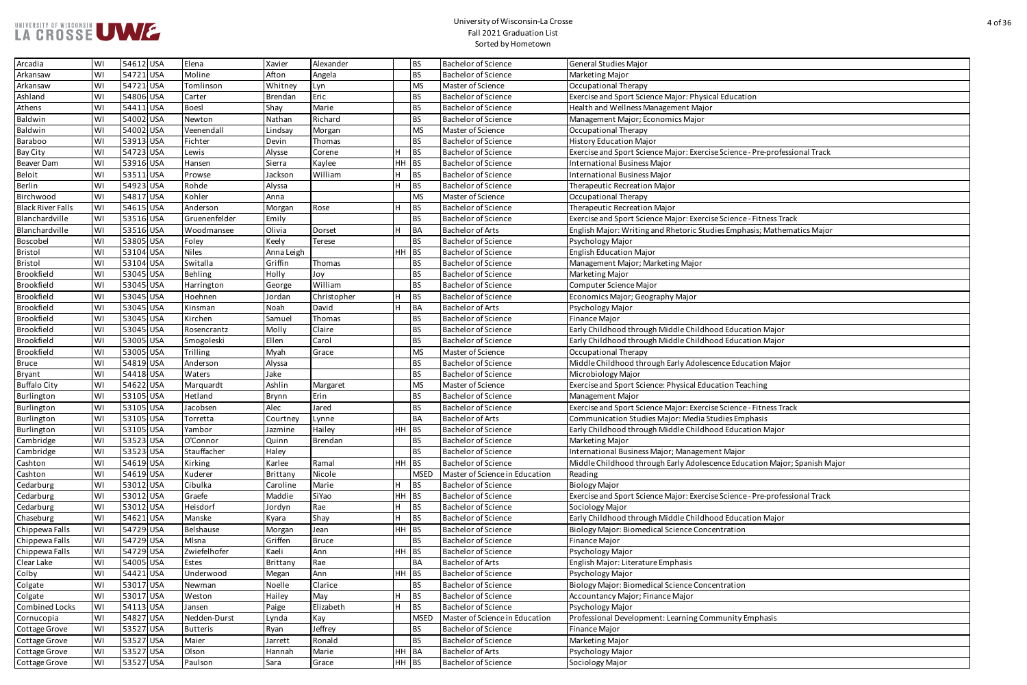

| al Education                        |
|-------------------------------------|
|                                     |
|                                     |
|                                     |
|                                     |
|                                     |
| e Science - Pre-professional Track  |
|                                     |
|                                     |
|                                     |
|                                     |
|                                     |
| e Science - Fitness Track           |
| lies Emphasis; Mathematics Major    |
|                                     |
|                                     |
|                                     |
|                                     |
|                                     |
|                                     |
|                                     |
|                                     |
|                                     |
| od Education Major                  |
| od Education Major                  |
|                                     |
| ence Education Major                |
|                                     |
| cation Teaching                     |
|                                     |
| e Science - Fitness Track           |
|                                     |
| udies Emphasis                      |
| od Education Major                  |
|                                     |
| nt Major                            |
| ence Education Major; Spanish Major |
|                                     |
|                                     |
| e Science - Pre-professional Track  |
|                                     |
| od Education Major                  |
| entration                           |
|                                     |
|                                     |
|                                     |
|                                     |
|                                     |
| entration                           |
|                                     |
|                                     |
| munity Emphasis                     |
|                                     |
|                                     |
|                                     |
|                                     |

| Arcadia                  | <b>WI</b> | 54612 USA | Elena              | Xavier            | Alexander            |         | <b>BS</b>   | <b>Bachelor of Science</b>     | General Studies Major                                                       |
|--------------------------|-----------|-----------|--------------------|-------------------|----------------------|---------|-------------|--------------------------------|-----------------------------------------------------------------------------|
| Arkansaw                 | WI        | 54721 USA | Moline             | Afton             | Angela               |         | <b>BS</b>   | <b>Bachelor of Science</b>     | Marketing Major                                                             |
| Arkansaw                 | WI        | 54721 USA | Tomlinson          | Whitney           | Lyn                  |         | <b>MS</b>   | Master of Science              | Occupational Therapy                                                        |
| Ashland                  | WI        | 54806 USA | Carter             | <b>Brendan</b>    | Eric                 |         | <b>BS</b>   | <b>Bachelor of Science</b>     | Exercise and Sport Science Major: Physical Education                        |
| Athens                   | WI        | 54411 USA | <b>Boesl</b>       | Shay              | Marie                |         | <b>BS</b>   | <b>Bachelor of Science</b>     | Health and Wellness Management Major                                        |
| Baldwin                  | WI        | 54002 USA | Newton             | Nathan            | Richard              |         | <b>BS</b>   | <b>Bachelor of Science</b>     | Management Major; Economics Major                                           |
| Baldwin                  | WI        | 54002 USA | Veenendall         | Lindsay           | Morgan               |         | <b>MS</b>   | Master of Science              | <b>Occupational Therapy</b>                                                 |
| Baraboo                  | WI        | 53913 USA | Fichter            | Devin             | Thomas               |         | <b>BS</b>   | <b>Bachelor of Science</b>     | <b>History Education Major</b>                                              |
| Bay City                 | WI        | 54723 USA | Lewis              | Alysse            | Corene               | H       | BS          | <b>Bachelor of Science</b>     | Exercise and Sport Science Major: Exercise Science - Pre-professional Track |
| Beaver Dam               | WI        | 53916 USA | Hansen             | Sierra            | Kaylee               | HH BS   |             | <b>Bachelor of Science</b>     | <b>International Business Major</b>                                         |
| <b>Beloit</b>            | WI        | 53511 USA | Prowse             | Jackson           | William              | H.      | <b>BS</b>   | <b>Bachelor of Science</b>     | <b>International Business Major</b>                                         |
| Berlin                   | WI        | 54923 USA | Rohde              | Alyssa            |                      | H       | BS          | <b>Bachelor of Science</b>     | Therapeutic Recreation Major                                                |
| Birchwood                | WI        | 54817 USA | Kohler             | Anna              |                      |         | <b>MS</b>   | Master of Science              | <b>Occupational Therapy</b>                                                 |
| <b>Black River Falls</b> | <b>WI</b> | 54615 USA | Anderson           | Morgan            | Rose                 | н       | <b>BS</b>   | <b>Bachelor of Science</b>     | Therapeutic Recreation Major                                                |
| Blanchardville           | WI        | 53516 USA | Gruenenfelder      | Emily             |                      |         | <b>BS</b>   | <b>Bachelor of Science</b>     | Exercise and Sport Science Major: Exercise Science - Fitness Track          |
| Blanchardville           | WI        | 53516 USA | Woodmansee         | Olivia            | Dorset               | н       | BA          | <b>Bachelor of Arts</b>        | English Major: Writing and Rhetoric Studies Emphasis; Mathematics Major     |
| Boscobel                 | WI        | 53805 USA | Foley              | Keely             | <b>Terese</b>        |         | <b>BS</b>   | <b>Bachelor of Science</b>     | Psychology Major                                                            |
| Bristol                  | WI        | 53104 USA | <b>Niles</b>       | Anna Leigh        |                      | $HH$ BS |             | <b>Bachelor of Science</b>     | <b>English Education Major</b>                                              |
| Bristol                  | WI        | 53104 USA | Switalla           | Griffin           | Thomas               |         | BS          | <b>Bachelor of Science</b>     | Management Major; Marketing Major                                           |
| Brookfield               | WI        | 53045 USA | Behling            | Holly             | Joy                  |         | <b>BS</b>   | <b>Bachelor of Science</b>     | Marketing Major                                                             |
| Brookfield               | WI        | 53045 USA | Harrington         | George            | William              |         | <b>BS</b>   | <b>Bachelor of Science</b>     | Computer Science Major                                                      |
| Brookfield               | WI        | 53045 USA | Hoehnen            | Jordan            | Christopher          | н       | <b>BS</b>   | <b>Bachelor of Science</b>     | Economics Major; Geography Major                                            |
| Brookfield               | WI        | 53045 USA | Kinsman            | Noah              | David                | H.      | BA          | <b>Bachelor of Arts</b>        | Psychology Major                                                            |
| Brookfield               | WI        | 53045 USA | Kirchen            | Samuel            | Thomas               |         | <b>BS</b>   | <b>Bachelor of Science</b>     | <b>Finance Major</b>                                                        |
| Brookfield               | WI        | 53045 USA | Rosencrantz        | Molly             | Claire               |         | <b>BS</b>   | <b>Bachelor of Science</b>     | Early Childhood through Middle Childhood Education Major                    |
| Brookfield               | WI        | 53005 USA | Smogoleski         | Ellen             | Carol                |         | <b>BS</b>   | <b>Bachelor of Science</b>     | Early Childhood through Middle Childhood Education Major                    |
| Brookfield               | WI        | 53005 USA | <b>Trilling</b>    | Myah              | Grace                |         | <b>MS</b>   | Master of Science              | <b>Occupational Therapy</b>                                                 |
| <b>Bruce</b>             | WI        | 54819 USA | Anderson           | Alyssa            |                      |         | <b>BS</b>   | <b>Bachelor of Science</b>     | Middle Childhood through Early Adolescence Education Major                  |
| Bryant                   | WI        | 54418 USA | Waters             | Jake              |                      |         | <b>BS</b>   | <b>Bachelor of Science</b>     | Microbiology Major                                                          |
| <b>Buffalo City</b>      | WI        | 54622 USA | Marquardt          | Ashlin            | Margaret             |         | <b>MS</b>   | Master of Science              | Exercise and Sport Science: Physical Education Teaching                     |
| Burlington               | WI        | 53105 USA | Hetland            | Brynn             | Erin                 |         | <b>BS</b>   | <b>Bachelor of Science</b>     | Management Major                                                            |
| Burlington               | WI        | 53105 USA | Jacobsen           | Alec              | Jared                |         | <b>BS</b>   | <b>Bachelor of Science</b>     | Exercise and Sport Science Major: Exercise Science - Fitness Track          |
| Burlington               | <b>WI</b> | 53105 USA | Torretta           | Courtney          | Lynne                |         | BA          | <b>Bachelor of Arts</b>        | Communication Studies Major: Media Studies Emphasis                         |
| Burlington               | WI        | 53105 USA | Yambor             | Jazmine           | Hailey               | HH BS   |             | <b>Bachelor of Science</b>     | Early Childhood through Middle Childhood Education Major                    |
| Cambridge                | <b>WI</b> | 53523 USA | O'Connor           | Quinn             | Brendan              |         | <b>BS</b>   | <b>Bachelor of Science</b>     | Marketing Major                                                             |
| Cambridge                | WI        | 53523 USA | Stauffacher        | Haley             |                      |         | <b>BS</b>   | <b>Bachelor of Science</b>     | International Business Major; Management Major                              |
| Cashton                  | WI        | 54619 USA | Kirking            | Karlee            | Ramal                | HH BS   |             | <b>Bachelor of Science</b>     | Middle Childhood through Early Adolescence Education Major; Spanish Major   |
| Cashton                  | WI        | 54619 USA | Kuderer            | Brittany          | Nicole               |         | <b>MSED</b> | Master of Science in Education | Reading                                                                     |
| Cedarburg                | WI        | 53012 USA | Cibulka            | Caroline          | Marie                | H       | BS          | <b>Bachelor of Science</b>     | <b>Biology Major</b>                                                        |
| Cedarburg                | WI        | 53012 USA | Graefe             | Maddie            | SiYao                | HH BS   |             | <b>Bachelor of Science</b>     | Exercise and Sport Science Major: Exercise Science - Pre-professional Track |
| Cedarburg                | <b>WI</b> | 53012 USA | Heisdorf           | Jordyn            | Rae                  | H.      | BS          | <b>Bachelor of Science</b>     |                                                                             |
| Chaseburg                | WI        | 54621 USA | Manske             |                   | Shay                 | H.      | BS          | <b>Bachelor of Science</b>     | Sociology Major<br>Early Childhood through Middle Childhood Education Major |
|                          | <b>WI</b> | 54729 USA |                    | Kyara             |                      | HH BS   |             | <b>Bachelor of Science</b>     |                                                                             |
| Chippewa Falls           | <b>WI</b> | 54729 USA | Belshause<br>Mlsna | Morgan<br>Griffen | Jean<br><b>Bruce</b> |         | <b>BS</b>   | <b>Bachelor of Science</b>     | Biology Major: Biomedical Science Concentration                             |
| Chippewa Falls           |           | 54729 USA |                    | Kaeli             |                      | $HH$ BS |             |                                | Finance Major                                                               |
| Chippewa Falls           | WI        |           | Zwiefelhofer       |                   | Ann                  |         |             | <b>Bachelor of Science</b>     | Psychology Major                                                            |
| Clear Lake               | WI        | 54005 USA | Estes              | Brittany          | Rae                  |         | BA          | <b>Bachelor of Arts</b>        | English Major: Literature Emphasis                                          |
| Colby                    | WI        | 54421 USA | Underwood          | Megan             | Ann                  | HH BS   |             | <b>Bachelor of Science</b>     | Psychology Major                                                            |
| Colgate                  | WI        | 53017 USA | Newman             | Noelle            | Clarice              |         | <b>BS</b>   | <b>Bachelor of Science</b>     | <b>Biology Major: Biomedical Science Concentration</b>                      |
| Colgate                  | WI        | 53017 USA | Weston             | Hailey            | May                  | H.      | BS          | <b>Bachelor of Science</b>     | Accountancy Major; Finance Major                                            |
| <b>Combined Locks</b>    | <b>WI</b> | 54113 USA | Jansen             | Paige             | Elizabeth            | H.      | BS          | <b>Bachelor of Science</b>     | Psychology Major                                                            |
| Cornucopia               | WI        | 54827 USA | Nedden-Durst       | Lynda             | Kay                  |         | <b>MSED</b> | Master of Science in Education | Professional Development: Learning Community Emphasis                       |
| Cottage Grove            | <b>WI</b> | 53527 USA | <b>Butteris</b>    | Ryan              | Jeffrey              |         | <b>BS</b>   | <b>Bachelor of Science</b>     | Finance Major                                                               |
| Cottage Grove            | <b>WI</b> | 53527 USA | Maier              | Jarrett           | Ronald               |         | <b>BS</b>   | <b>Bachelor of Science</b>     | Marketing Major                                                             |
| Cottage Grove            | WI        | 53527 USA | Olson              | Hannah            | Marie                | HH BA   |             | <b>Bachelor of Arts</b>        | Psychology Major                                                            |
| Cottage Grove            | <b>WI</b> | 53527 USA | Paulson            | Sara              | Grace                | HH BS   |             | <b>Bachelor of Science</b>     | Sociology Major                                                             |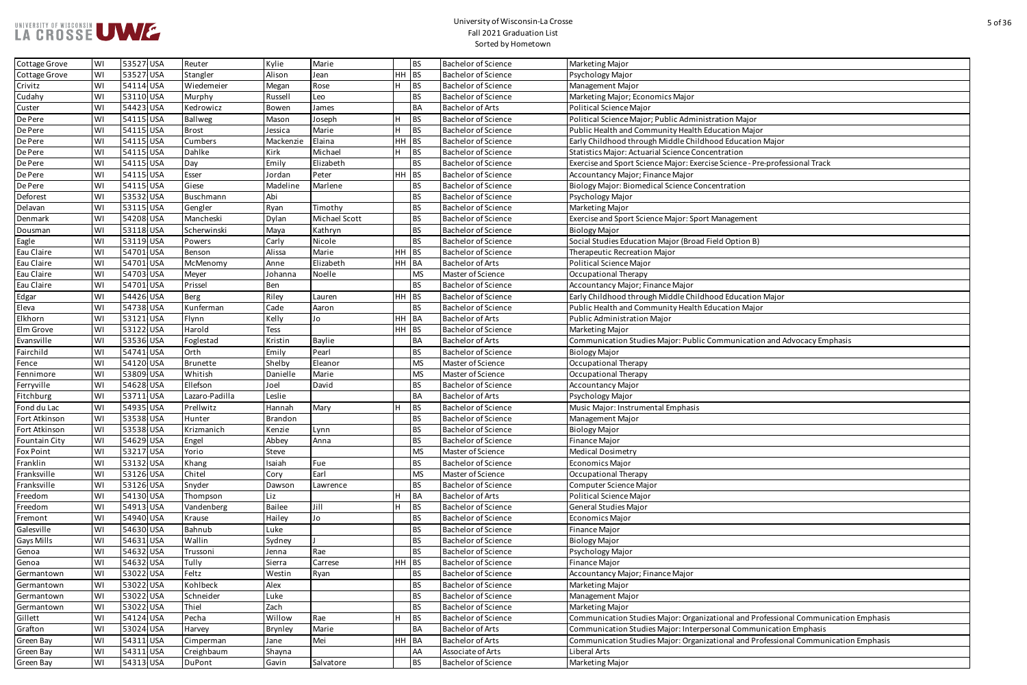| ration Major                                   |
|------------------------------------------------|
| ucation Major                                  |
| od Education Major                             |
|                                                |
| ntration                                       |
| se Science - Pre-professional Track            |
|                                                |
| entration                                      |
|                                                |
|                                                |
| Management                                     |
|                                                |
|                                                |
| eld Option B)                                  |
|                                                |
|                                                |
|                                                |
|                                                |
| od Education Major                             |
|                                                |
| ucation Major                                  |
|                                                |
|                                                |
| ommunication and Advocacy Emphasis             |
|                                                |
|                                                |
|                                                |
|                                                |
|                                                |
|                                                |
|                                                |
|                                                |
|                                                |
|                                                |
|                                                |
|                                                |
|                                                |
|                                                |
|                                                |
|                                                |
|                                                |
|                                                |
|                                                |
|                                                |
|                                                |
|                                                |
|                                                |
|                                                |
|                                                |
|                                                |
|                                                |
| tional and Professional Communication Emphasis |
| sonal Communication Emphasis                   |
|                                                |
| tional and Professional Communication Emphasis |
|                                                |
|                                                |

| Cottage Grove        | WI | 53527 USA | Reuter         | Kylie          | Marie         |         | <b>BS</b> | <b>Bachelor of Science</b> | Marketing Major                                                                     |
|----------------------|----|-----------|----------------|----------------|---------------|---------|-----------|----------------------------|-------------------------------------------------------------------------------------|
| Cottage Grove        | WI | 53527 USA | Stangler       | Alison         | Jean          | $HH$ BS |           | <b>Bachelor of Science</b> | Psychology Major                                                                    |
| Crivitz              | WI | 54114 USA | Wiedemeier     | Megan          | Rose          |         | <b>BS</b> | <b>Bachelor of Science</b> | Management Major                                                                    |
| Cudahy               | WI | 53110 USA | Murphy         | Russell        | Leo           |         | <b>BS</b> | <b>Bachelor of Science</b> | Marketing Major; Economics Major                                                    |
| Custer               | WI | 54423 USA | Kedrowicz      | Bowen          | James         |         | <b>BA</b> | <b>Bachelor of Arts</b>    | Political Science Major                                                             |
| De Pere              | WI | 54115 USA | Ballweg        | Mason          | Joseph        | H       | <b>BS</b> | <b>Bachelor of Science</b> | Political Science Major; Public Administration Major                                |
| De Pere              | WI | 54115 USA | <b>Brost</b>   | Jessica        | Marie         | H       | <b>BS</b> | <b>Bachelor of Science</b> | Public Health and Community Health Education Major                                  |
| De Pere              | WI | 54115 USA | Cumbers        | Mackenzie      | Elaina        | $HH$ BS |           | <b>Bachelor of Science</b> | Early Childhood through Middle Childhood Education Major                            |
| De Pere              | WI | 54115 USA | Dahlke         | Kirk           | Michael       |         | <b>BS</b> | <b>Bachelor of Science</b> | <b>Statistics Major: Actuarial Science Concentration</b>                            |
| De Pere              | WI | 54115 USA | Day            | Emily          | Elizabeth     |         | <b>BS</b> | <b>Bachelor of Science</b> | Exercise and Sport Science Major: Exercise Science - Pre-professional Track         |
| De Pere              | WI | 54115 USA | Esser          | Jordan         | Peter         | $HH$ BS |           | <b>Bachelor of Science</b> | Accountancy Major; Finance Major                                                    |
| De Pere              | WI | 54115 USA | Giese          | Madeline       | Marlene       |         | <b>BS</b> | <b>Bachelor of Science</b> | <b>Biology Major: Biomedical Science Concentration</b>                              |
| Deforest             | WI | 53532 USA | Buschmann      | Abi            |               |         | <b>BS</b> | <b>Bachelor of Science</b> | Psychology Major                                                                    |
| Delavan              | WI | 53115 USA | Gengler        | Ryan           | Timothy       |         | <b>BS</b> | <b>Bachelor of Science</b> | Marketing Major                                                                     |
| Denmark              | WI | 54208 USA | Mancheski      | Dylan          | Michael Scott |         | <b>BS</b> | <b>Bachelor of Science</b> | Exercise and Sport Science Major: Sport Management                                  |
| Dousman              | WI | 53118 USA | Scherwinski    | Maya           | Kathryn       |         | <b>BS</b> | <b>Bachelor of Science</b> | <b>Biology Major</b>                                                                |
| Eagle                | WI | 53119 USA | Powers         | Carly          | Nicole        |         | <b>BS</b> | <b>Bachelor of Science</b> | Social Studies Education Major (Broad Field Option B)                               |
| Eau Claire           | WI | 54701 USA | Benson         | Alissa         | Marie         | $HH$ BS |           | <b>Bachelor of Science</b> | Therapeutic Recreation Major                                                        |
| Eau Claire           | WI | 54701 USA | McMenomy       | Anne           | Elizabeth     | HH BA   |           | <b>Bachelor of Arts</b>    | <b>Political Science Major</b>                                                      |
| Eau Claire           | WI | 54703 USA | Meyer          | Johanna        | Noelle        |         | <b>MS</b> | Master of Science          | Occupational Therapy                                                                |
| Eau Claire           | WI | 54701 USA | Prissel        | Ben            |               |         | <b>BS</b> | <b>Bachelor of Science</b> | Accountancy Major; Finance Major                                                    |
| Edgar                | WI | 54426 USA | <b>Berg</b>    | Riley          | Lauren        | $HH$ BS |           | <b>Bachelor of Science</b> | Early Childhood through Middle Childhood Education Major                            |
| Eleva                | WI | 54738 USA | Kunferman      | Cade           | Aaron         |         | <b>BS</b> | <b>Bachelor of Science</b> | Public Health and Community Health Education Major                                  |
| Elkhorn              | WI | 53121 USA | Flynn          | Kelly          | Jo            | HH BA   |           | <b>Bachelor of Arts</b>    | <b>Public Administration Major</b>                                                  |
| Elm Grove            | WI | 53122 USA | Harold         | Tess           |               | HH BS   |           | <b>Bachelor of Science</b> | Marketing Major                                                                     |
| Evansville           | WI | 53536 USA | Foglestad      | Kristin        | Baylie        |         | <b>BA</b> | <b>Bachelor of Arts</b>    | Communication Studies Major: Public Communication and Advocacy Emphasis             |
| Fairchild            | WI | 54741 USA | Orth           | Emily          | Pearl         |         | <b>BS</b> | <b>Bachelor of Science</b> | <b>Biology Major</b>                                                                |
| Fence                | WI | 54120 USA | Brunette       | Shelby         | Eleanor       |         | <b>MS</b> | Master of Science          | Occupational Therapy                                                                |
| Fennimore            | WI | 53809 USA | Whitish        | Danielle       | Marie         |         | <b>MS</b> | Master of Science          | Occupational Therapy                                                                |
| Ferryville           | WI | 54628 USA | Ellefson       | Joel           | David         |         | <b>BS</b> | <b>Bachelor of Science</b> | <b>Accountancy Major</b>                                                            |
| Fitchburg            | WI | 53711 USA | Lazaro-Padilla | Leslie         |               |         | <b>BA</b> | <b>Bachelor of Arts</b>    | Psychology Major                                                                    |
| Fond du Lac          | WI | 54935 USA | Prellwitz      | Hannah         | Mary          |         | <b>BS</b> | <b>Bachelor of Science</b> | Music Major: Instrumental Emphasis                                                  |
| Fort Atkinson        | WI | 53538 USA | Hunter         | Brandon        |               |         | <b>BS</b> | <b>Bachelor of Science</b> | Management Major                                                                    |
| Fort Atkinson        | WI | 53538 USA | Krizmanich     | Kenzie         | Lynn          |         | <b>BS</b> | <b>Bachelor of Science</b> | <b>Biology Major</b>                                                                |
| <b>Fountain City</b> | WI | 54629 USA | Engel          | Abbey          | Anna          |         | <b>BS</b> | <b>Bachelor of Science</b> | Finance Major                                                                       |
| <b>Fox Point</b>     | WI | 53217 USA | Yorio          | Steve          |               |         | <b>MS</b> | Master of Science          | <b>Medical Dosimetry</b>                                                            |
| Franklin             | WI | 53132 USA | Khang          | Isaiah         | Fue           |         | <b>BS</b> | <b>Bachelor of Science</b> | <b>Economics Major</b>                                                              |
| Franksville          | WI | 53126 USA | Chitel         | Cory           | Earl          |         | <b>MS</b> | Master of Science          | Occupational Therapy                                                                |
| Franksville          | WI | 53126 USA | Snyder         | Dawson         | Lawrence      |         | <b>BS</b> | <b>Bachelor of Science</b> | Computer Science Major                                                              |
| Freedom              | WI | 54130 USA | Thompson       | Liz            |               |         | <b>BA</b> | <b>Bachelor of Arts</b>    | Political Science Major                                                             |
| Freedom              | WI | 54913 USA | Vandenberg     | Bailee         | Jill          | Iн      | <b>BS</b> | <b>Bachelor of Science</b> | General Studies Major                                                               |
| Fremont              | WI | 54940 USA | Krause         | Hailey         | Jo            |         | <b>BS</b> | <b>Bachelor of Science</b> | Economics Major                                                                     |
| Galesville           | WI | 54630 USA | Bahnub         | Luke           |               |         | <b>BS</b> | <b>Bachelor of Science</b> | Finance Major                                                                       |
| Gays Mills           | WI | 54631 USA | Wallin         | Sydney         |               |         | <b>BS</b> | <b>Bachelor of Science</b> | <b>Biology Major</b>                                                                |
| Genoa                | WI | 54632 USA | Trussoni       | Jenna          | Rae           |         | <b>BS</b> | <b>Bachelor of Science</b> | Psychology Major                                                                    |
| Genoa                | WI | 54632 USA | Tully          | Sierra         | Carrese       | HH BS   |           | <b>Bachelor of Science</b> | Finance Major                                                                       |
| Germantown           | WI | 53022 USA | Feltz          | Westin         | Ryan          |         | <b>BS</b> | <b>Bachelor of Science</b> | Accountancy Major; Finance Major                                                    |
| Germantown           | WI | 53022 USA | Kohlbeck       | Alex           |               |         | <b>BS</b> | <b>Bachelor of Science</b> | Marketing Major                                                                     |
| Germantown           | WI | 53022 USA | Schneider      | Luke           |               |         | <b>BS</b> | <b>Bachelor of Science</b> | Management Major                                                                    |
| Germantown           | WI | 53022 USA | Thiel          | Zach           |               |         | <b>BS</b> | <b>Bachelor of Science</b> | Marketing Major                                                                     |
| Gillett              | WI | 54124 USA | Pecha          | Willow         | Rae           |         | <b>BS</b> | <b>Bachelor of Science</b> | Communication Studies Major: Organizational and Professional Communication Emphasis |
| Grafton              | WI | 53024 USA | Harvey         | <b>Brynley</b> | Marie         |         | <b>BA</b> | <b>Bachelor of Arts</b>    | Communication Studies Major: Interpersonal Communication Emphasis                   |
| Green Bay            | WI | 54311 USA | Cimperman      | Jane           | Mei           | HH BA   |           | <b>Bachelor of Arts</b>    | Communication Studies Major: Organizational and Professional Communication Emphasis |
| Green Bay            | WI | 54311 USA | Creighbaum     | Shayna         |               |         | AA        | Associate of Arts          | Liberal Arts                                                                        |
| Green Bay            | WI | 54313 USA | DuPont         | Gavin          | Salvatore     |         | <b>BS</b> | <b>Bachelor of Science</b> | Marketing Major                                                                     |
|                      |    |           |                |                |               |         |           |                            |                                                                                     |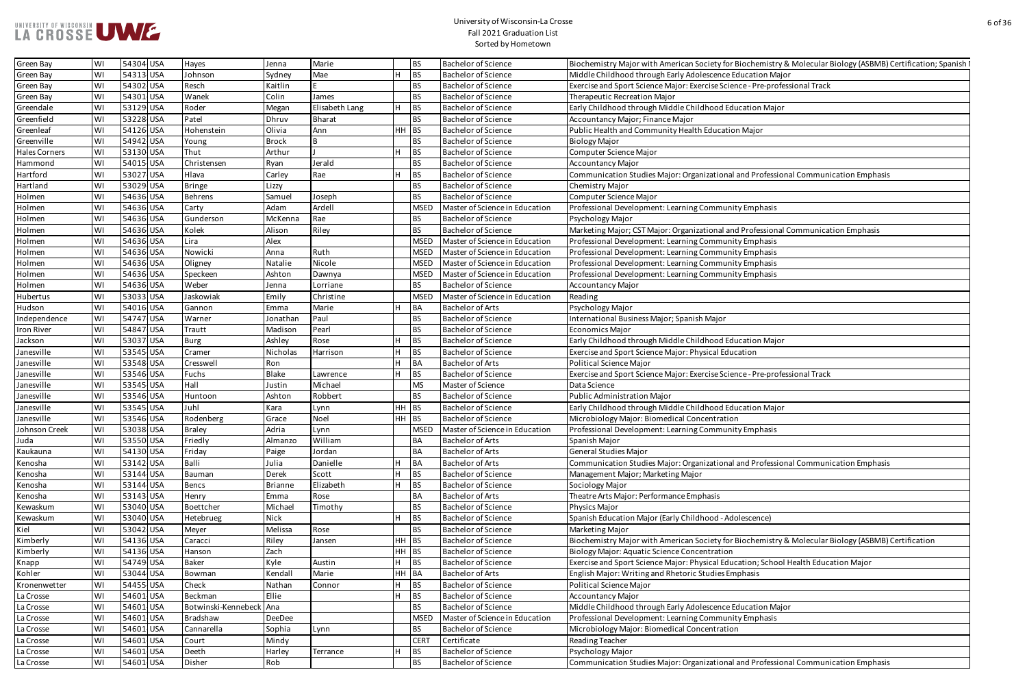

| ty for Biochemistry & Molecular Biology (ASBMB) Certification; Spanish I |
|--------------------------------------------------------------------------|
| ence Education Major                                                     |
| e Science - Pre-professional Track                                       |
|                                                                          |
| od Education Major                                                       |
|                                                                          |
| ucation Major                                                            |
|                                                                          |
|                                                                          |
|                                                                          |
| tional and Professional Communication Emphasis                           |
|                                                                          |
|                                                                          |
| munity Emphasis                                                          |
|                                                                          |
|                                                                          |
| nal and Professional Communication Emphasis                              |
| munity Emphasis                                                          |
| munity Emphasis                                                          |
| munity Emphasis                                                          |
| munity Emphasis                                                          |
|                                                                          |
|                                                                          |
|                                                                          |
| ajor                                                                     |
|                                                                          |
| od Education Major                                                       |
| al Education                                                             |
|                                                                          |
| e Science - Pre-professional Track                                       |
|                                                                          |
|                                                                          |
| od Education Major                                                       |
| tration                                                                  |
| munity Emphasis                                                          |
|                                                                          |
|                                                                          |
| tional and Professional Communication Emphasis                           |
|                                                                          |
|                                                                          |
| is                                                                       |
|                                                                          |
| d - Adolescence)                                                         |
|                                                                          |
| ty for Biochemistry & Molecular Biology (ASBMB) Certification            |
| ation                                                                    |
|                                                                          |
| al Education; School Health Education Major                              |
| lies Emphasis                                                            |
|                                                                          |
|                                                                          |
| ence Education Major                                                     |
| munity Emphasis                                                          |
| tration                                                                  |
|                                                                          |
|                                                                          |
| tional and Professional Communication Emphasis                           |

| Green Bay         | WI | 54304 USA | Hayes                   | Jenna          | Marie          |       | <b>BS</b>   | <b>Bachelor of Science</b>     | Biochemistry Major with American Society for Biochemistry & Molecular Biology (ASBMB) Certification; Spanish I |
|-------------------|----|-----------|-------------------------|----------------|----------------|-------|-------------|--------------------------------|----------------------------------------------------------------------------------------------------------------|
| Green Bay         | WI | 54313 USA | Johnson                 | Sydney         | Mae            |       | <b>BS</b>   | <b>Bachelor of Science</b>     | Middle Childhood through Early Adolescence Education Major                                                     |
| Green Bay         | WI | 54302 USA | Resch                   | Kaitlin        |                |       | BS          | <b>Bachelor of Science</b>     | Exercise and Sport Science Major: Exercise Science - Pre-professional Track                                    |
| Green Bay         | WI | 54301 USA | Wanek                   | Colin          | James          |       | <b>BS</b>   | <b>Bachelor of Science</b>     | Therapeutic Recreation Major                                                                                   |
| Greendale         | WI | 53129 USA | Roder                   | Megan          | Elisabeth Lang |       | BS          | <b>Bachelor of Science</b>     | Early Childhood through Middle Childhood Education Major                                                       |
| Greenfield        | WI | 53228 USA | Patel                   | Dhruv          | <b>Bharat</b>  |       | <b>BS</b>   | <b>Bachelor of Science</b>     | Accountancy Major; Finance Major                                                                               |
| Greenleaf         | WI | 54126 USA | Hohenstein              | Olivia         | Ann            | HH    | $ $ BS      | <b>Bachelor of Science</b>     | Public Health and Community Health Education Major                                                             |
| Greenville        | WI | 54942 USA | Young                   | <b>Brock</b>   |                |       | <b>BS</b>   | <b>Bachelor of Science</b>     | <b>Biology Major</b>                                                                                           |
| Hales Corners     | WI | 53130 USA | Thut                    | Arthur         |                |       | BS          | <b>Bachelor of Science</b>     | Computer Science Major                                                                                         |
| Hammond           | WI | 54015 USA | Christensen             | Ryan           | Jerald         |       | <b>BS</b>   | <b>Bachelor of Science</b>     | <b>Accountancy Major</b>                                                                                       |
| Hartford          | WI | 53027 USA | Hlava                   | Carley         | Rae            |       | <b>BS</b>   | <b>Bachelor of Science</b>     | Communication Studies Major: Organizational and Professional Communication Emphasis                            |
| Hartland          | WI | 53029 USA | <b>Bringe</b>           | Lizzy          |                |       | <b>BS</b>   | <b>Bachelor of Science</b>     | <b>Chemistry Major</b>                                                                                         |
| Holmen            | WI | 54636 USA | Behrens                 | Samuel         | Joseph         |       | <b>BS</b>   | <b>Bachelor of Science</b>     | Computer Science Major                                                                                         |
| Holmen            | WI | 54636 USA | Carty                   | Adam           | Ardell         |       | <b>MSED</b> | Master of Science in Education | Professional Development: Learning Community Emphasis                                                          |
| Holmen            | WI | 54636 USA | Gunderson               | McKenna        | Rae            |       | BS          | <b>Bachelor of Science</b>     | Psychology Major                                                                                               |
| Holmen            | WI | 54636 USA | Kolek                   | Alison         | Riley          |       | <b>BS</b>   | <b>Bachelor of Science</b>     | Marketing Major; CST Major: Organizational and Professional Communication Emphasis                             |
| Holmen            | WI | 54636 USA | Lira                    | Alex           |                |       | <b>MSED</b> | Master of Science in Education | Professional Development: Learning Community Emphasis                                                          |
| Holmen            | WI | 54636 USA | Nowicki                 | Anna           | Ruth           |       | <b>MSED</b> | Master of Science in Education | Professional Development: Learning Community Emphasis                                                          |
| Holmen            | WI | 54636 USA | Oligney                 | Natalie        | Nicole         |       | <b>MSED</b> | Master of Science in Education | Professional Development: Learning Community Emphasis                                                          |
| Holmen            | WI | 54636 USA | Speckeen                | Ashton         | Dawnya         |       | <b>MSED</b> | Master of Science in Education | Professional Development: Learning Community Emphasis                                                          |
| Holmen            | WI | 54636 USA | Weber                   | Jenna          | Lorriane       |       | <b>BS</b>   | <b>Bachelor of Science</b>     | <b>Accountancy Major</b>                                                                                       |
| Hubertus          | WI | 53033 USA | Jaskowiak               | Emily          | Christine      |       | <b>MSED</b> | Master of Science in Education | Reading                                                                                                        |
| Hudson            | WI | 54016 USA | Gannon                  | Emma           | Marie          |       | <b>BA</b>   | <b>Bachelor of Arts</b>        | Psychology Major                                                                                               |
|                   |    |           |                         |                | Paul           |       |             | <b>Bachelor of Science</b>     |                                                                                                                |
| Independence      | WI | 54747 USA | Warner                  | Jonathan       |                |       | BS          |                                | International Business Major; Spanish Major                                                                    |
| <b>Iron River</b> | WI | 54847 USA | Trautt                  | Madison        | Pearl          |       | <b>BS</b>   | <b>Bachelor of Science</b>     | <b>Economics Major</b>                                                                                         |
| Jackson           | WI | 53037 USA | <b>Burg</b>             | Ashley         | Rose           |       | <b>BS</b>   | <b>Bachelor of Science</b>     | Early Childhood through Middle Childhood Education Major                                                       |
| Janesville        | WI | 53545 USA | Cramer                  | Nicholas       | Harrison       | Iн.   | l BS        | <b>Bachelor of Science</b>     | Exercise and Sport Science Major: Physical Education                                                           |
| Janesville        | WI | 53548 USA | Cresswell               | Ron            |                | ΙH.   | BA          | <b>Bachelor of Arts</b>        | <b>Political Science Major</b>                                                                                 |
| Janesville        | WI | 53546 USA | Fuchs                   | Blake          | Lawrence       | Iн.   | BS          | <b>Bachelor of Science</b>     | Exercise and Sport Science Major: Exercise Science - Pre-professional Track                                    |
| Janesville        | WI | 53545 USA | Hall                    | Justin         | Michael        |       | MS.         | Master of Science              | Data Science                                                                                                   |
| Janesville        | WI | 53546 USA | Huntoon                 | Ashton         | Robbert        |       | l BS        | <b>Bachelor of Science</b>     | <b>Public Administration Major</b>                                                                             |
| Janesville        | WI | 53545 USA | Juhl                    | Kara           | Lynn           | HH BS |             | <b>Bachelor of Science</b>     | Early Childhood through Middle Childhood Education Major                                                       |
| Janesville        | WI | 53546 USA | Rodenberg               | Grace          | Noel           | HH BS |             | <b>Bachelor of Science</b>     | Microbiology Major: Biomedical Concentration                                                                   |
| Johnson Creek     | WI | 53038 USA | <b>Braley</b>           | Adria          | Lynn           |       | <b>MSED</b> | Master of Science in Education | Professional Development: Learning Community Emphasis                                                          |
| Juda              | WI | 53550 USA | Friedly                 | Almanzo        | William        |       | <b>BA</b>   | <b>Bachelor of Arts</b>        | Spanish Major                                                                                                  |
| Kaukauna          | WI | 54130 USA | Friday                  | Paige          | Jordan         |       | <b>BA</b>   | <b>Bachelor of Arts</b>        | General Studies Major                                                                                          |
| Kenosha           | WI | 53142 USA | Balli                   | Julia          | Danielle       |       | <b>BA</b>   | <b>Bachelor of Arts</b>        | Communication Studies Major: Organizational and Professional Communication Emphasis                            |
| Kenosha           | WI | 53144 USA | Bauman                  | Derek          | Scott          | Iн.   | BS          | <b>Bachelor of Science</b>     | Management Major; Marketing Major                                                                              |
| Kenosha           | WI | 53144 USA | <b>Bencs</b>            | <b>Brianne</b> | Elizabeth      | IH.   | <b>BS</b>   | <b>Bachelor of Science</b>     | Sociology Major                                                                                                |
| Kenosha           | WI | 53143 USA | Henry                   | Emma           | Rose           |       | <b>BA</b>   | <b>Bachelor of Arts</b>        | Theatre Arts Major: Performance Emphasis                                                                       |
| Kewaskum          | WI | 53040 USA | Boettcher               | Michael        | Timothy        |       | <b>BS</b>   | <b>Bachelor of Science</b>     | Physics Major                                                                                                  |
| Kewaskum          | WI | 53040 USA | Hetebrueg               | Nick           |                | Iн.   | <b>BS</b>   | <b>Bachelor of Science</b>     | Spanish Education Major (Early Childhood - Adolescence)                                                        |
| Kiel              | WI | 53042 USA | Meyer                   | Melissa        | Rose           |       | <b>BS</b>   | <b>Bachelor of Science</b>     | Marketing Major                                                                                                |
| Kimberly          | WI | 54136 USA | Caracci                 | Riley          | Jansen         | HH BS |             | <b>Bachelor of Science</b>     | Biochemistry Major with American Society for Biochemistry & Molecular Biology (ASBMB) Certification            |
| Kimberly          | WI | 54136 USA | Hanson                  | Zach           |                | HH BS |             | <b>Bachelor of Science</b>     | Biology Major: Aquatic Science Concentration                                                                   |
| Knapp             | WI | 54749 USA | <b>Baker</b>            | Kyle           | Austin         |       | BS          | <b>Bachelor of Science</b>     | Exercise and Sport Science Major: Physical Education; School Health Education Major                            |
| Kohler            | WI | 53044 USA | Bowman                  | Kendall        | Marie          | HH BA |             | <b>Bachelor of Arts</b>        | <b>English Major: Writing and Rhetoric Studies Emphasis</b>                                                    |
| Kronenwetter      | WI | 54455 USA | Check                   | Nathan         | Connor         | H.    | <b>BS</b>   | <b>Bachelor of Science</b>     | Political Science Major                                                                                        |
| La Crosse         | WI | 54601 USA | Beckman                 | Ellie          |                | ΙH.   | BS          | <b>Bachelor of Science</b>     | <b>Accountancy Major</b>                                                                                       |
| La Crosse         | WI | 54601 USA | Botwinski-Kennebeck Ana |                |                |       | <b>BS</b>   | <b>Bachelor of Science</b>     | Middle Childhood through Early Adolescence Education Major                                                     |
| La Crosse         | WI | 54601 USA | Bradshaw                | DeeDee         |                |       | <b>MSED</b> | Master of Science in Education | Professional Development: Learning Community Emphasis                                                          |
| La Crosse         | WI | 54601 USA | Cannarella              | Sophia         | Lynn           |       | BS          | <b>Bachelor of Science</b>     | Microbiology Major: Biomedical Concentration                                                                   |
| La Crosse         | WI | 54601 USA | Court                   | Mindy          |                |       | <b>CERT</b> | Certificate                    | Reading Teacher                                                                                                |
| La Crosse         | WI | 54601 USA | Deeth                   | Harley         | Terrance       | IH.   | BS          | <b>Bachelor of Science</b>     | <b>Psychology Major</b>                                                                                        |
| La Crosse         | WI | 54601 USA | Disher                  | Rob            |                |       | BS          | <b>Bachelor of Science</b>     | Communication Studies Major: Organizational and Professional Communication Emphasis                            |
|                   |    |           |                         |                |                |       |             |                                |                                                                                                                |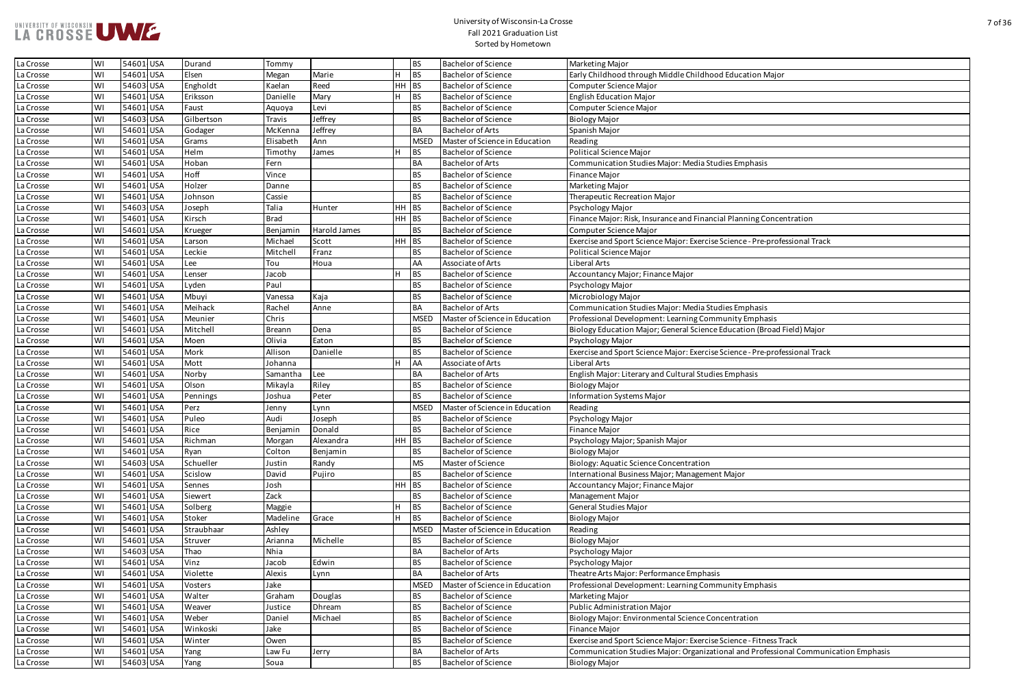

| od Education Major                                                          |
|-----------------------------------------------------------------------------|
|                                                                             |
|                                                                             |
|                                                                             |
|                                                                             |
|                                                                             |
|                                                                             |
|                                                                             |
|                                                                             |
| udies Emphasis                                                              |
|                                                                             |
|                                                                             |
|                                                                             |
|                                                                             |
| cial Planning Concentration                                                 |
|                                                                             |
| e Science - Pre-professional Track                                          |
|                                                                             |
|                                                                             |
|                                                                             |
|                                                                             |
|                                                                             |
|                                                                             |
| udies Emphasis                                                              |
| <b>Imunity Emphasis</b>                                                     |
| e Education (Broad Field) Major                                             |
|                                                                             |
|                                                                             |
| e Science - Pre-professional Track                                          |
|                                                                             |
| ies Emphasis                                                                |
|                                                                             |
|                                                                             |
|                                                                             |
|                                                                             |
|                                                                             |
|                                                                             |
|                                                                             |
|                                                                             |
|                                                                             |
| nt Major!                                                                   |
|                                                                             |
|                                                                             |
|                                                                             |
|                                                                             |
|                                                                             |
|                                                                             |
|                                                                             |
|                                                                             |
| is                                                                          |
|                                                                             |
| munity Emphasis                                                             |
|                                                                             |
|                                                                             |
|                                                                             |
| oncentration                                                                |
|                                                                             |
|                                                                             |
| e Science - Fitness Track<br>tional and Professional Communication Emphasis |

| La Crosse | WI | 54601 USA              | Durand            | Tommy           |              |       | <b>BS</b>              | <b>Bachelor of Science</b>                               | Marketing Major                                                                          |
|-----------|----|------------------------|-------------------|-----------------|--------------|-------|------------------------|----------------------------------------------------------|------------------------------------------------------------------------------------------|
| La Crosse | WI | 54601 USA              | Elsen             | Megan           | Marie        |       | <b>BS</b>              | <b>Bachelor of Science</b>                               | Early Childhood through Middle Childhood Education Major                                 |
| La Crosse | WI | 54603 USA              | Engholdt          | Kaelan          | Reed         | HН    | BS                     | <b>Bachelor of Science</b>                               | Computer Science Major                                                                   |
| La Crosse | WI | 54601 USA              | Eriksson          | Danielle        | Mary         |       | <b>BS</b>              | <b>Bachelor of Science</b>                               | <b>English Education Major</b>                                                           |
| La Crosse | WI | 54601 USA              | Faust             | Aquoya          | Levi         |       | <b>BS</b>              | <b>Bachelor of Science</b>                               | Computer Science Major                                                                   |
| La Crosse | WI | 54603 USA              | Gilbertson        | Travis          | Jeffrey      |       | <b>BS</b>              | <b>Bachelor of Science</b>                               | <b>Biology Major</b>                                                                     |
| La Crosse | WI | 54601 USA              | Godager           | McKenna         | Jeffrey      |       | <b>BA</b>              | <b>Bachelor of Arts</b>                                  | Spanish Major                                                                            |
| La Crosse | WI | 54601 USA              | Grams             | Elisabeth       | Ann          |       | <b>MSED</b>            | Master of Science in Education                           | Reading                                                                                  |
| La Crosse | WI | 54601 USA              | Helm              | Timothy         | James        |       | <b>BS</b>              | <b>Bachelor of Science</b>                               | <b>Political Science Major</b>                                                           |
| La Crosse | WI | 54601 USA              | Hoban             | Fern            |              |       | <b>BA</b>              | <b>Bachelor of Arts</b>                                  | Communication Studies Major: Media Studies Emphasis                                      |
| La Crosse | WI | 54601 USA              | Hoff              | Vince           |              |       | <b>BS</b>              | <b>Bachelor of Science</b>                               | Finance Major                                                                            |
| La Crosse | WI | 54601 USA              | Holzer            | Danne           |              |       | <b>BS</b>              | <b>Bachelor of Science</b>                               | Marketing Major                                                                          |
| La Crosse | WI | 54601 USA              | Johnson           | Cassie          |              |       | <b>BS</b>              | <b>Bachelor of Science</b>                               | Therapeutic Recreation Major                                                             |
| La Crosse | WI | 54603 USA              | Joseph            | Talia           | Hunter       | HН    | $ _{BS}$               | <b>Bachelor of Science</b>                               | Psychology Major                                                                         |
| La Crosse | WI | 54601 USA              | Kirsch            | <b>Brad</b>     |              | HH BS |                        | <b>Bachelor of Science</b>                               | Finance Major: Risk, Insurance and Financial Planning Concentration                      |
| La Crosse | WI | 54601 USA              | Krueger           | Benjamin        | Harold James |       | <b>BS</b>              | <b>Bachelor of Science</b>                               | Computer Science Major                                                                   |
| La Crosse | WI | 54601 USA              | Larson            | Michael         | Scott        | HH BS |                        | <b>Bachelor of Science</b>                               | Exercise and Sport Science Major: Exercise Science - Pre-professional Track              |
| La Crosse | WI | 54601 USA              | Leckie            | Mitchell        | Franz        |       | <b>BS</b>              | <b>Bachelor of Science</b>                               | Political Science Major                                                                  |
| La Crosse | WI | 54601 USA              | Lee               | Tou             | Houa         |       | AA                     | Associate of Arts                                        | <b>Liberal Arts</b>                                                                      |
| La Crosse | WI | 54601 USA              | Lenser            | Jacob           |              |       | <b>BS</b>              | <b>Bachelor of Science</b>                               | Accountancy Major; Finance Major                                                         |
| La Crosse | WI | 54601 USA              | Lyden             | Paul            |              |       | <b>BS</b>              | <b>Bachelor of Science</b>                               | Psychology Major                                                                         |
| La Crosse | WI | 54601 USA              | Mbuyi             | Vanessa         | Kaja         |       | <b>BS</b>              | <b>Bachelor of Science</b>                               | Microbiology Major                                                                       |
| La Crosse | WI | 54601 USA              | Meihack           | Rachel          | Anne         |       | <b>BA</b>              | <b>Bachelor of Arts</b>                                  | Communication Studies Major: Media Studies Emphasis                                      |
| La Crosse | WI | 54601 USA              | Meunier           | Chris           |              |       | <b>MSED</b>            | Master of Science in Education                           | Professional Development: Learning Community Emphasis                                    |
| La Crosse | WI | 54601 USA              | Mitchell          | <b>Breann</b>   | Dena         |       | <b>BS</b>              | <b>Bachelor of Science</b>                               | Biology Education Major; General Science Education (Broad Field) Major                   |
| La Crosse | WI | 54601 USA              | Moen              | Olivia          | Eaton        |       | <b>BS</b>              | <b>Bachelor of Science</b>                               | Psychology Major                                                                         |
| La Crosse | WI | 54601 USA              | Mork              | Allison         | Danielle     |       | <b>BS</b>              | <b>Bachelor of Science</b>                               | Exercise and Sport Science Major: Exercise Science - Pre-professional Track              |
| La Crosse | WI | 54601 USA              | Mott              | Johanna         |              |       | AA                     | Associate of Arts                                        | Liberal Arts                                                                             |
| La Crosse | WI | 54601 USA              | Norby             | Samantha        | Lee          |       | <b>BA</b>              | <b>Bachelor of Arts</b>                                  | English Major: Literary and Cultural Studies Emphasis                                    |
| La Crosse | WI | 54601 USA              | Olson             | Mikayla         | Riley        |       | <b>BS</b>              | <b>Bachelor of Science</b>                               | <b>Biology Major</b>                                                                     |
| La Crosse | W١ | 54601 USA              | Pennings          | Joshua          | Peter        |       | <b>BS</b>              | <b>Bachelor of Science</b>                               | <b>Information Systems Major</b>                                                         |
| La Crosse | WI | 54601 USA              | Perz              | Jenny           | Lynn         |       | <b>MSED</b>            | Master of Science in Education                           | Reading                                                                                  |
| La Crosse | WI | 54601 USA              | Puleo             | Audi            | Joseph       |       | <b>BS</b>              | <b>Bachelor of Science</b>                               | Psychology Major                                                                         |
| La Crosse | WI | 54601 USA              | Rice              | Benjamin        | Donald       |       | <b>BS</b>              | <b>Bachelor of Science</b>                               | Finance Major                                                                            |
| La Crosse | WI | 54601 USA              | Richman           |                 | Alexandra    | HH BS |                        | <b>Bachelor of Science</b>                               | Psychology Major; Spanish Major                                                          |
|           |    |                        |                   | Morgan          |              |       |                        |                                                          |                                                                                          |
| La Crosse | WI | 54601 USA              | Ryan<br>Schueller | Colton          | Benjamin     |       | <b>BS</b><br><b>MS</b> | <b>Bachelor of Science</b><br>Master of Science          | <b>Biology Major</b>                                                                     |
| La Crosse | WI | 54603 USA<br>54601 USA | Scislow           | Justin<br>David | Randy        |       | <b>BS</b>              | <b>Bachelor of Science</b>                               | Biology: Aquatic Science Concentration<br>International Business Major; Management Major |
| La Crosse | WI |                        |                   |                 | Pujiro       |       | BS                     |                                                          |                                                                                          |
| La Crosse | WI | 54601 USA              | Sennes            | Josh            |              | HН    |                        | <b>Bachelor of Science</b>                               | Accountancy Major; Finance Major                                                         |
| La Crosse | WI | 54601 USA              | Siewert           | Zack            |              |       | <b>BS</b>              | <b>Bachelor of Science</b><br><b>Bachelor of Science</b> | Management Major                                                                         |
| La Crosse | WI | 54601 USA              | Solberg           | Maggie          |              |       | <b>BS</b>              |                                                          | General Studies Major                                                                    |
| La Crosse | WI | 54601 USA              | Stoker            | Madeline        | Grace        |       | <b>BS</b>              | <b>Bachelor of Science</b>                               | <b>Biology Major</b>                                                                     |
| La Crosse | WI | 54601 USA              | Straubhaar        | Ashley          |              |       | <b>MSE</b>             | Master of Science in Education                           | Reading                                                                                  |
| La Crosse | WI | 54601 USA              | Struver           | Arianna         | Michelle     |       | <b>BS</b>              | <b>Bachelor of Science</b>                               | <b>Biology Major</b>                                                                     |
| La Crosse | WI | 54603 USA              | Thao              | Nhia            |              |       | <b>BA</b>              | <b>Bachelor of Arts</b>                                  | Psychology Major                                                                         |
| La Crosse | WI | 54601 USA              | Vinz              | Jacob           | Edwin        |       | <b>BS</b>              | <b>Bachelor of Science</b>                               | Psychology Major                                                                         |
| La Crosse | WI | 54601 USA              | Violette          | Alexis          | Lynn         |       | <b>BA</b>              | <b>Bachelor of Arts</b>                                  | Theatre Arts Major: Performance Emphasis                                                 |
| La Crosse | WI | 54601 USA              | Vosters           | Jake            |              |       | <b>MSED</b>            | Master of Science in Education                           | Professional Development: Learning Community Emphasis                                    |
| La Crosse | WI | 54601 USA              | Walter            | Graham          | Douglas      |       | <b>BS</b>              | <b>Bachelor of Science</b>                               | Marketing Major                                                                          |
| La Crosse | WI | 54601 USA              | Weaver            | Justice         | Dhream       |       | <b>BS</b>              | <b>Bachelor of Science</b>                               | <b>Public Administration Major</b>                                                       |
| La Crosse | WI | 54601 USA              | Weber             | Daniel          | Michael      |       | <b>BS</b>              | <b>Bachelor of Science</b>                               | Biology Major: Environmental Science Concentration                                       |
| La Crosse | WI | 54601 USA              | Winkoski          | Jake            |              |       | <b>BS</b>              | <b>Bachelor of Science</b>                               | Finance Major                                                                            |
| La Crosse | WI | 54601 USA              | Winter            | Owen            |              |       | <b>BS</b>              | <b>Bachelor of Science</b>                               | Exercise and Sport Science Major: Exercise Science - Fitness Track                       |
| La Crosse | WI | 54601 USA              | Yang              | Law Fu          | Jerry        |       | <b>BA</b>              | <b>Bachelor of Arts</b>                                  | Communication Studies Major: Organizational and Professional Communication Emphasis      |
| La Crosse | WI | 54603 USA              | Yang              | Soua            |              |       | <b>BS</b>              | <b>Bachelor of Science</b>                               | <b>Biology Major</b>                                                                     |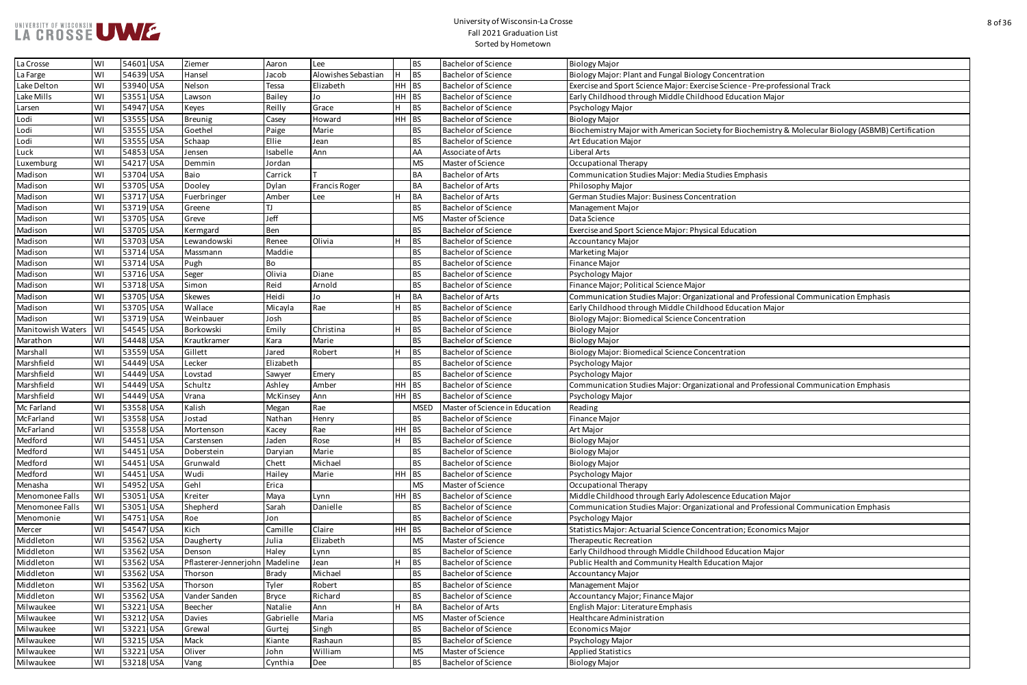| Concentration                                                  |
|----------------------------------------------------------------|
| se Science - Pre-professional Track                            |
| od Education Major                                             |
|                                                                |
|                                                                |
| ety for Biochemistry & Molecular Biology (ASBMB) Certification |
|                                                                |
|                                                                |
|                                                                |
| udies Emphasis                                                 |
|                                                                |
| tration                                                        |
|                                                                |
|                                                                |
| al Education                                                   |
|                                                                |
|                                                                |
|                                                                |
|                                                                |
|                                                                |
| tional and Professional Communication Emphasis                 |
| od Education Major                                             |
| entration                                                      |
|                                                                |
|                                                                |
|                                                                |
| entration                                                      |
|                                                                |
|                                                                |
| tional and Professional Communication Emphasis                 |
|                                                                |
|                                                                |
|                                                                |
|                                                                |
|                                                                |
|                                                                |
|                                                                |
|                                                                |
|                                                                |
| ence Education Major                                           |
| tional and Professional Communication Emphasis                 |
|                                                                |
| <b>Intration; Economics Major</b>                              |
|                                                                |
| od Education Major                                             |
| ucation Major                                                  |
|                                                                |
|                                                                |
|                                                                |
|                                                                |
|                                                                |
|                                                                |
|                                                                |
|                                                                |
|                                                                |

| La Crosse         | WI        | 54601 USA | Ziemer                           | Aaron         | Lee                  |         | <b>BS</b>   | <b>Bachelor of Science</b>     | <b>Biology Major</b>                                                                                |
|-------------------|-----------|-----------|----------------------------------|---------------|----------------------|---------|-------------|--------------------------------|-----------------------------------------------------------------------------------------------------|
| La Farge          | WI        | 54639 USA | Hansel                           | Jacob         | Alowishes Sebastian  |         | <b>BS</b>   | <b>Bachelor of Science</b>     | Biology Major: Plant and Fungal Biology Concentration                                               |
| Lake Delton       | WI        | 53940 USA | Nelson                           | Tessa         | Elizabeth            | $HH$ BS |             | <b>Bachelor of Science</b>     | Exercise and Sport Science Major: Exercise Science - Pre-professional Track                         |
| Lake Mills        | WI        | 53551 USA | Lawson                           | <b>Bailey</b> | Jo                   | $HH$ BS |             | <b>Bachelor of Science</b>     | Early Childhood through Middle Childhood Education Major                                            |
| Larsen            | WI        | 54947 USA | Keyes                            | Reilly        | Grace                |         | BS          | <b>Bachelor of Science</b>     | Psychology Major                                                                                    |
| Lodi              | WI        | 53555 USA | <b>Breunig</b>                   | Casey         | Howard               | $HH$ BS |             | <b>Bachelor of Science</b>     | <b>Biology Major</b>                                                                                |
| Lodi              | WI        | 53555 USA | Goethel                          | Paige         | Marie                |         | <b>BS</b>   | <b>Bachelor of Science</b>     | Biochemistry Major with American Society for Biochemistry & Molecular Biology (ASBMB) Certification |
| Lodi              | WI        | 53555 USA | Schaap                           | Ellie         | Jean                 |         | <b>BS</b>   | <b>Bachelor of Science</b>     | Art Education Major                                                                                 |
| Luck              | WI        | 54853 USA | Jensen                           | Isabelle      | Ann                  |         | AA          | Associate of Arts              | Liberal Arts                                                                                        |
| Luxemburg         | WI        | 54217 USA | Demmin                           | Iordan        |                      |         | <b>MS</b>   | Master of Science              | Occupational Therapy                                                                                |
| Madison           | WI        | 53704 USA | Baio                             | Carrick       |                      |         | <b>BA</b>   | <b>Bachelor of Arts</b>        | Communication Studies Major: Media Studies Emphasis                                                 |
| Madison           | WI        | 53705 USA | Dooley                           | Dylan         | <b>Francis Roger</b> |         | <b>BA</b>   | <b>Bachelor of Arts</b>        | Philosophy Major                                                                                    |
| Madison           | WI        | 53717 USA | Fuerbringer                      | Amber         | Lee                  |         | BA          | <b>Bachelor of Arts</b>        | German Studies Major: Business Concentration                                                        |
| Madison           | WI        | 53719 USA | Greene                           |               |                      |         | <b>BS</b>   | <b>Bachelor of Science</b>     | Management Major                                                                                    |
| Madison           | WI        | 53705 USA | Greve                            | Jeff          |                      |         | <b>MS</b>   | Master of Science              | Data Science                                                                                        |
| Madison           | WI        | 53705 USA | Kermgard                         | Ben           |                      |         | <b>BS</b>   | <b>Bachelor of Science</b>     | Exercise and Sport Science Major: Physical Education                                                |
| Madison           | WI        | 53703 USA | Lewandowski                      | Renee         | Olivia               |         | BS          | <b>Bachelor of Science</b>     | <b>Accountancy Major</b>                                                                            |
| Madison           | WI        | 53714 USA | Massmann                         | Maddie        |                      |         | <b>BS</b>   | <b>Bachelor of Science</b>     | Marketing Major                                                                                     |
| Madison           | WI        | 53714 USA | Pugh                             | Bo            |                      |         | <b>BS</b>   | <b>Bachelor of Science</b>     | Finance Major                                                                                       |
| Madison           | WI        | 53716 USA | Seger                            | Olivia        | Diane                |         | <b>BS</b>   | <b>Bachelor of Science</b>     | Psychology Major                                                                                    |
| Madison           | WI        | 53718 USA | Simon                            | Reid          | Arnold               |         | <b>BS</b>   | <b>Bachelor of Science</b>     | Finance Major; Political Science Major                                                              |
| Madison           | WI        | 53705 USA | <b>Skewes</b>                    | Heidi         | Jo                   |         | BA          | <b>Bachelor of Arts</b>        | Communication Studies Major: Organizational and Professional Communication Emphasis                 |
| Madison           | WI        | 53705 USA | Wallace                          | Micayla       | Rae                  |         | BS          | <b>Bachelor of Science</b>     | Early Childhood through Middle Childhood Education Major                                            |
| Madison           | WI        | 53719 USA | Weinbauer                        | Josh          |                      |         | <b>BS</b>   | <b>Bachelor of Science</b>     | Biology Major: Biomedical Science Concentration                                                     |
| Manitowish Waters | <b>WI</b> | 54545 USA | Borkowski                        | Emily         | Christina            |         | BS          | <b>Bachelor of Science</b>     | <b>Biology Major</b>                                                                                |
| Marathon          | WI        | 54448 USA | Krautkramer                      | Kara          | Marie                |         | <b>BS</b>   | <b>Bachelor of Science</b>     | <b>Biology Major</b>                                                                                |
| Marshall          | WI        | 53559 USA | Gillett                          | Jared         | Robert               |         | <b>BS</b>   | <b>Bachelor of Science</b>     | Biology Major: Biomedical Science Concentration                                                     |
| Marshfield        | WI        | 54449 USA | Lecker                           | Elizabeth     |                      |         | <b>BS</b>   | <b>Bachelor of Science</b>     | Psychology Major                                                                                    |
| Marshfield        | WI        | 54449 USA | Lovstad                          | Sawyer        | Emery                |         | <b>BS</b>   | <b>Bachelor of Science</b>     | Psychology Major                                                                                    |
| Marshfield        | WI        | 54449 USA | Schultz                          | Ashley        | Amber                | $HH$ BS |             | <b>Bachelor of Science</b>     | Communication Studies Major: Organizational and Professional Communication Emphasis                 |
| Marshfield        | WI        | 54449 USA | Vrana                            | McKinsey      | Ann                  | $HH$ BS |             | <b>Bachelor of Science</b>     | Psychology Major                                                                                    |
| Mc Farland        | WI        | 53558 USA | Kalish                           | Megan         | Rae                  |         | <b>MSED</b> | Master of Science in Education | Reading                                                                                             |
| McFarland         | WI        | 53558 USA | Jostad                           | Nathan        | Henry                |         | BS          | <b>Bachelor of Science</b>     | Finance Major                                                                                       |
| McFarland         | WI        | 53558 USA | Mortenson                        | Kacey         | Rae                  | $HH$ BS |             | <b>Bachelor of Science</b>     | Art Major                                                                                           |
| Medford           | WI        | 54451 USA | Carstensen                       | Jaden         | Rose                 |         | $ _{BS}$    | <b>Bachelor of Science</b>     | <b>Biology Major</b>                                                                                |
| Medford           | WI        | 54451 USA | Doberstein                       | Daryian       | Marie                |         | <b>BS</b>   | <b>Bachelor of Science</b>     | <b>Biology Major</b>                                                                                |
| Medford           | WI        | 54451 USA | Grunwald                         | Chett         | Michael              |         | <b>BS</b>   | <b>Bachelor of Science</b>     | <b>Biology Major</b>                                                                                |
| Medford           | WI        | 54451 USA | Wudi                             | Hailey        | Marie                | $HH$ BS |             | <b>Bachelor of Science</b>     | Psychology Major                                                                                    |
| Menasha           | WI        | 54952 USA | Gehl                             | Erica         |                      |         | <b>MS</b>   | Master of Science              | Occupational Therapy                                                                                |
| Menomonee Falls   | WI        | 53051 USA | Kreiter                          | Maya          | Lynn                 | $HH$ BS |             | <b>Bachelor of Science</b>     | Middle Childhood through Early Adolescence Education Major                                          |
| Menomonee Falls   | WI        | 53051 USA | Shepherd                         | Sarah         | Danielle             |         | <b>BS</b>   | <b>Bachelor of Science</b>     | Communication Studies Major: Organizational and Professional Communication Emphasis                 |
| Menomonie         | WI        | 54751 USA | Roe                              | Jon           |                      |         | <b>BS</b>   | <b>Bachelor of Science</b>     | Psychology Major                                                                                    |
| Mercer            | WI        | 54547 USA | Kich                             | Camille       | Claire               | $HH$ BS |             | <b>Bachelor of Science</b>     | Statistics Major: Actuarial Science Concentration; Economics Major                                  |
| Middleton         | WI        | 53562 USA | Daugherty                        | Iulia         | Elizabeth            |         | <b>MS</b>   | Master of Science              | Therapeutic Recreation                                                                              |
| Middleton         | WI        | 53562 USA | Denson                           | Haley         | Lynn                 |         | <b>BS</b>   | <b>Bachelor of Science</b>     | Early Childhood through Middle Childhood Education Major                                            |
| Middleton         | WI        | 53562 USA | Pflasterer-Jennerjohn   Madeline |               | Jean                 |         | BS          | <b>Bachelor of Science</b>     | Public Health and Community Health Education Major                                                  |
| Middleton         | WI        | 53562 USA | Thorson                          | <b>Brady</b>  | Michael              |         | <b>BS</b>   | <b>Bachelor of Science</b>     | <b>Accountancy Major</b>                                                                            |
| Middleton         | WI        | 53562 USA | Thorson                          | Tyler         | Robert               |         | <b>BS</b>   | <b>Bachelor of Science</b>     |                                                                                                     |
| Middleton         | WI        | 53562 USA | Vander Sanden                    |               | Richard              |         | <b>BS</b>   | <b>Bachelor of Science</b>     | Management Major<br>Accountancy Major; Finance Major                                                |
|                   |           |           |                                  | <b>Bryce</b>  |                      |         | BA          |                                |                                                                                                     |
| Milwaukee         | WI        | 53221 USA | Beecher                          | Natalie       | Ann                  |         |             | <b>Bachelor of Arts</b>        | English Major: Literature Emphasis                                                                  |
| Milwaukee         | WI        | 53212 USA | <b>Davies</b>                    | Gabrielle     | Maria                |         | <b>MS</b>   | Master of Science              | Healthcare Administration                                                                           |
| Milwaukee         | WI        | 53221 USA | Grewal                           | Gurtej        | Singh                |         | <b>BS</b>   | <b>Bachelor of Science</b>     | <b>Economics Major</b>                                                                              |
| Milwaukee         | WI        | 53215 USA | Mack                             | Kiante        | Rashaun              |         | <b>BS</b>   | <b>Bachelor of Science</b>     | Psychology Major                                                                                    |
| Milwaukee         | WI        | 53221 USA | Oliver                           | John          | William              |         | <b>MS</b>   | Master of Science              | <b>Applied Statistics</b>                                                                           |
| Milwaukee         | WI        | 53218 USA | Vang                             | Cynthia       | Dee                  |         | <b>BS</b>   | <b>Bachelor of Science</b>     | <b>Biology Major</b>                                                                                |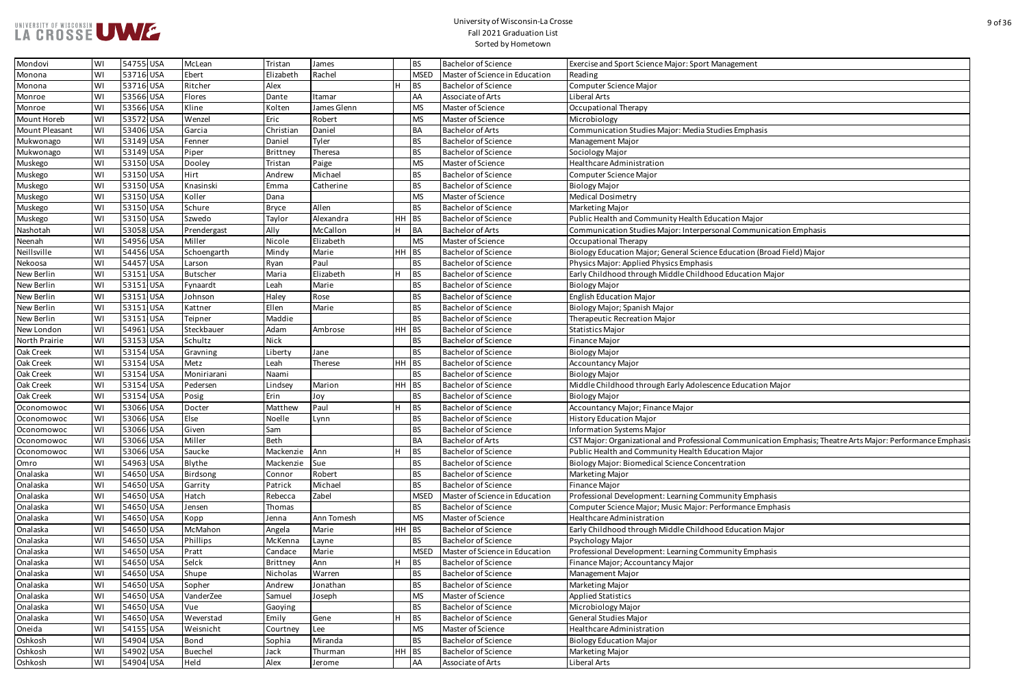| <b>Management</b>                                                   |
|---------------------------------------------------------------------|
|                                                                     |
|                                                                     |
|                                                                     |
|                                                                     |
|                                                                     |
|                                                                     |
| udies Emphasis                                                      |
|                                                                     |
|                                                                     |
|                                                                     |
|                                                                     |
|                                                                     |
|                                                                     |
|                                                                     |
|                                                                     |
| ucation Major                                                       |
| sonal Communication Emphasis                                        |
|                                                                     |
|                                                                     |
| e Education (Broad Field) Major                                     |
|                                                                     |
| od Education Major                                                  |
|                                                                     |
|                                                                     |
|                                                                     |
|                                                                     |
|                                                                     |
|                                                                     |
|                                                                     |
|                                                                     |
|                                                                     |
|                                                                     |
| ence Education Major                                                |
|                                                                     |
|                                                                     |
|                                                                     |
|                                                                     |
|                                                                     |
| al Communication Emphasis; Theatre Arts Major: Performance Emphasis |
| ucation Major                                                       |
|                                                                     |
| entration                                                           |
|                                                                     |
|                                                                     |
| munity Emphasis                                                     |
| erformance Emphasis                                                 |
|                                                                     |
| od Education Major                                                  |
|                                                                     |
|                                                                     |
| nmunity Emphasis                                                    |
|                                                                     |
|                                                                     |
|                                                                     |
|                                                                     |
|                                                                     |
|                                                                     |
|                                                                     |
|                                                                     |
|                                                                     |
|                                                                     |
|                                                                     |
|                                                                     |

| Mondovi        | WI | 54755 USA | McLean          | Tristan         | James       |         | <b>BS</b>   | <b>Bachelor of Science</b>     | Exercise and Sport Science Major: Sport Management                                                          |
|----------------|----|-----------|-----------------|-----------------|-------------|---------|-------------|--------------------------------|-------------------------------------------------------------------------------------------------------------|
| Monona         | WI | 53716 USA | Ebert           | Elizabeth       | Rachel      |         | <b>MSED</b> | Master of Science in Education | Reading                                                                                                     |
| Monona         | WI | 53716 USA | Ritcher         | Alex            |             |         | <b>BS</b>   | <b>Bachelor of Science</b>     | Computer Science Major                                                                                      |
| Monroe         | WI | 53566 USA | Flores          | Dante           | Itamar      |         | AA          | Associate of Arts              | Liberal Arts                                                                                                |
| Monroe         | WI | 53566 USA | Kline           | Kolten          | James Glenn |         | <b>MS</b>   | Master of Science              | Occupational Therapy                                                                                        |
| Mount Horeb    | WI | 53572 USA | Wenzel          | Eric            | Robert      |         | <b>MS</b>   | Master of Science              | Microbiology                                                                                                |
| Mount Pleasant | WI | 53406 USA | Garcia          | Christian       | Daniel      |         | <b>BA</b>   | <b>Bachelor of Arts</b>        | Communication Studies Major: Media Studies Emphasis                                                         |
| Mukwonago      | WI | 53149 USA | Fenner          | Daniel          | Tyler       |         | <b>BS</b>   | <b>Bachelor of Science</b>     | Management Major                                                                                            |
| Mukwonago      | WI | 53149 USA | Piper           | <b>Brittney</b> | Theresa     |         | <b>BS</b>   | <b>Bachelor of Science</b>     | Sociology Major                                                                                             |
| Muskego        | WI | 53150 USA | Dooley          | Tristan         | Paige       |         | <b>MS</b>   | Master of Science              | Healthcare Administration                                                                                   |
| Muskego        | WI | 53150 USA | Hirt            | Andrew          | Michael     |         | <b>BS</b>   | <b>Bachelor of Science</b>     | Computer Science Major                                                                                      |
| Muskego        | WI | 53150 USA | Knasinski       | Emma            | Catherine   |         | <b>BS</b>   | <b>Bachelor of Science</b>     | <b>Biology Major</b>                                                                                        |
| Muskego        | WI | 53150 USA | Koller          | Dana            |             |         | <b>MS</b>   | Master of Science              | <b>Medical Dosimetry</b>                                                                                    |
| Muskego        | WI | 53150 USA | Schure          | <b>Bryce</b>    | Allen       |         | <b>BS</b>   | <b>Bachelor of Science</b>     | Marketing Major                                                                                             |
| Muskego        | WI | 53150 USA | Szwedo          | Taylor          | Alexandra   | $HH$ BS |             | <b>Bachelor of Science</b>     | Public Health and Community Health Education Major                                                          |
| Nashotah       | WI | 53058 USA | Prendergast     | Ally            | McCallon    |         | <b>BA</b>   | <b>Bachelor of Arts</b>        | Communication Studies Major: Interpersonal Communication Emphasis                                           |
| Neenah         | WI | 54956 USA | Miller          | Nicole          | Elizabeth   |         | <b>MS</b>   | Master of Science              | Occupational Therapy                                                                                        |
| Neillsville    | WI | 54456 USA | Schoengarth     | Mindy           | Marie       | HH BS   |             | <b>Bachelor of Science</b>     | Biology Education Major; General Science Education (Broad Field) Major                                      |
| Nekoosa        | WI | 54457 USA | Larson          | Ryan            | Paul        |         | <b>BS</b>   | <b>Bachelor of Science</b>     | Physics Major: Applied Physics Emphasis                                                                     |
| New Berlin     | WI | 53151 USA | <b>Butscher</b> | Maria           | Elizabeth   |         | <b>BS</b>   | <b>Bachelor of Science</b>     | Early Childhood through Middle Childhood Education Major                                                    |
| New Berlin     | WI | 53151 USA | Fynaardt        | Leah            | Marie       |         | <b>BS</b>   | <b>Bachelor of Science</b>     | <b>Biology Major</b>                                                                                        |
| New Berlin     | WI | 53151 USA | Johnson         | Haley           | Rose        |         | <b>BS</b>   | <b>Bachelor of Science</b>     | <b>English Education Major</b>                                                                              |
| New Berlin     | WI | 53151 USA | Kattner         | Ellen           | Marie       |         | <b>BS</b>   | <b>Bachelor of Science</b>     | Biology Major; Spanish Major                                                                                |
| New Berlin     | WI | 53151 USA | Teipner         | Maddie          |             |         | <b>BS</b>   | <b>Bachelor of Science</b>     | Therapeutic Recreation Major                                                                                |
| New London     | WI | 54961 USA | Steckbauer      | Adam            | Ambrose     | HH      | <b>BS</b>   | <b>Bachelor of Science</b>     | <b>Statistics Major</b>                                                                                     |
| North Prairie  | WI | 53153 USA | Schultz         | <b>Nick</b>     |             |         | <b>BS</b>   | <b>Bachelor of Science</b>     | Finance Major                                                                                               |
| Oak Creek      | WI | 53154 USA | Gravning        | Liberty         | Jane        |         | <b>BS</b>   | <b>Bachelor of Science</b>     | <b>Biology Major</b>                                                                                        |
| Oak Creek      | WI | 53154 USA | Metz            | Leah            | Therese     | HH      | <b>BS</b>   | <b>Bachelor of Science</b>     | <b>Accountancy Major</b>                                                                                    |
| Oak Creek      | WI | 53154 USA | Moniriarani     | Naami           |             |         | <b>BS</b>   | <b>Bachelor of Science</b>     | <b>Biology Major</b>                                                                                        |
| Oak Creek      | WI | 53154 USA | Pedersen        | Lindsey         | Marion      | $HH$ BS |             | <b>Bachelor of Science</b>     | Middle Childhood through Early Adolescence Education Major                                                  |
| Oak Creek      | WI | 53154 USA | Posig           | Erin            | Joy         |         | <b>BS</b>   | <b>Bachelor of Science</b>     | <b>Biology Major</b>                                                                                        |
| Oconomowoc     | WI | 53066 USA | Docter          | Matthew         | Paul        |         | <b>BS</b>   | <b>Bachelor of Science</b>     | Accountancy Major; Finance Major                                                                            |
| Oconomowoc     | WI | 53066 USA | Else            | Noelle          | Lynn        |         | BS.         | <b>Bachelor of Science</b>     | <b>History Education Major</b>                                                                              |
| Oconomowoc     | WI | 53066 USA | Given           | Sam             |             |         | <b>BS</b>   | <b>Bachelor of Science</b>     | <b>Information Systems Major</b>                                                                            |
| Oconomowoc     | WI | 53066 USA | Miller          | <b>Beth</b>     |             |         | <b>BA</b>   | <b>Bachelor of Arts</b>        | CST Major: Organizational and Professional Communication Emphasis; Theatre Arts Major: Performance Emphasis |
| Oconomowoc     | WI | 53066 USA | Saucke          | Mackenzie       | Ann         |         | <b>BS</b>   | <b>Bachelor of Science</b>     | Public Health and Community Health Education Major                                                          |
| Omro           | WI | 54963 USA | Blythe          | Mackenzie       | Sue         |         | <b>BS</b>   | <b>Bachelor of Science</b>     | Biology Major: Biomedical Science Concentration                                                             |
| Onalaska       | WI | 54650 USA | Birdsong        | Connor          | Robert      |         | <b>BS</b>   | <b>Bachelor of Science</b>     | Marketing Major                                                                                             |
| Onalaska       | WI | 54650 USA | Garrity         | Patrick         | Michael     |         | <b>BS</b>   | <b>Bachelor of Science</b>     | <b>Finance Major</b>                                                                                        |
| Onalaska       | WI | 54650 USA | Hatch           | Rebecca         | Zabel       |         | <b>MSED</b> | Master of Science in Education | Professional Development: Learning Community Emphasis                                                       |
| Onalaska       | WI | 54650 USA |                 |                 |             |         |             | <b>Bachelor of Science</b>     | Computer Science Major; Music Major: Performance Emphasis                                                   |
|                |    | 54650 USA | Jensen          | Thomas          |             |         | <b>BS</b>   | Master of Science              |                                                                                                             |
| Onalaska       | WI |           | Kopp            | Jenna           | Ann Tomesh  |         | <b>MS</b>   |                                | Healthcare Administration                                                                                   |
| Onalaska       | WI | 54650 USA | McMahon         | Angela          | Marie       | $HH$ BS |             | <b>Bachelor of Science</b>     | Early Childhood through Middle Childhood Education Major                                                    |
| Onalaska       | WI | 54650 USA | Phillips        | McKenna         | Layne       |         | <b>BS</b>   | <b>Bachelor of Science</b>     | Psychology Major                                                                                            |
| Onalaska       | WI | 54650 USA | Pratt           | Candace         | Marie       |         | <b>MSED</b> | Master of Science in Education | Professional Development: Learning Community Emphasis                                                       |
| Onalaska       | WI | 54650 USA | Selck           | <b>Brittney</b> | Ann         |         | <b>BS</b>   | <b>Bachelor of Science</b>     | Finance Major; Accountancy Major                                                                            |
| Onalaska       | WI | 54650 USA | Shupe           | Nicholas        | Warren      |         | <b>BS</b>   | <b>Bachelor of Science</b>     | Management Major                                                                                            |
| Onalaska       | WI | 54650 USA | Sopher          | Andrew          | Jonathan    |         | <b>BS</b>   | <b>Bachelor of Science</b>     | Marketing Major                                                                                             |
| Onalaska       | WI | 54650 USA | VanderZee       | Samuel          | Joseph      |         | <b>MS</b>   | Master of Science              | <b>Applied Statistics</b>                                                                                   |
| Onalaska       | WI | 54650 USA | Vue             | Gaoying         |             |         | <b>BS</b>   | <b>Bachelor of Science</b>     | Microbiology Major                                                                                          |
| Onalaska       | WI | 54650 USA | Weverstad       | Emily           | Gene        |         | <b>BS</b>   | <b>Bachelor of Science</b>     | <b>General Studies Major</b>                                                                                |
| Oneida         | WI | 54155 USA | Weisnicht       | Courtney        | Lee         |         | <b>MS</b>   | Master of Science              | Healthcare Administration                                                                                   |
| Oshkosh        | WI | 54904 USA | Bond            | Sophia          | Miranda     |         | <b>BS</b>   | <b>Bachelor of Science</b>     | <b>Biology Education Major</b>                                                                              |
| Oshkosh        | WI | 54902 USA | <b>Buechel</b>  | Jack            | Thurman     | $HH$ BS |             | <b>Bachelor of Science</b>     | Marketing Major                                                                                             |
| Oshkosh        | WI | 54904 USA | Held            | Alex            | Jerome      |         | AA          | Associate of Arts              | Liberal Arts                                                                                                |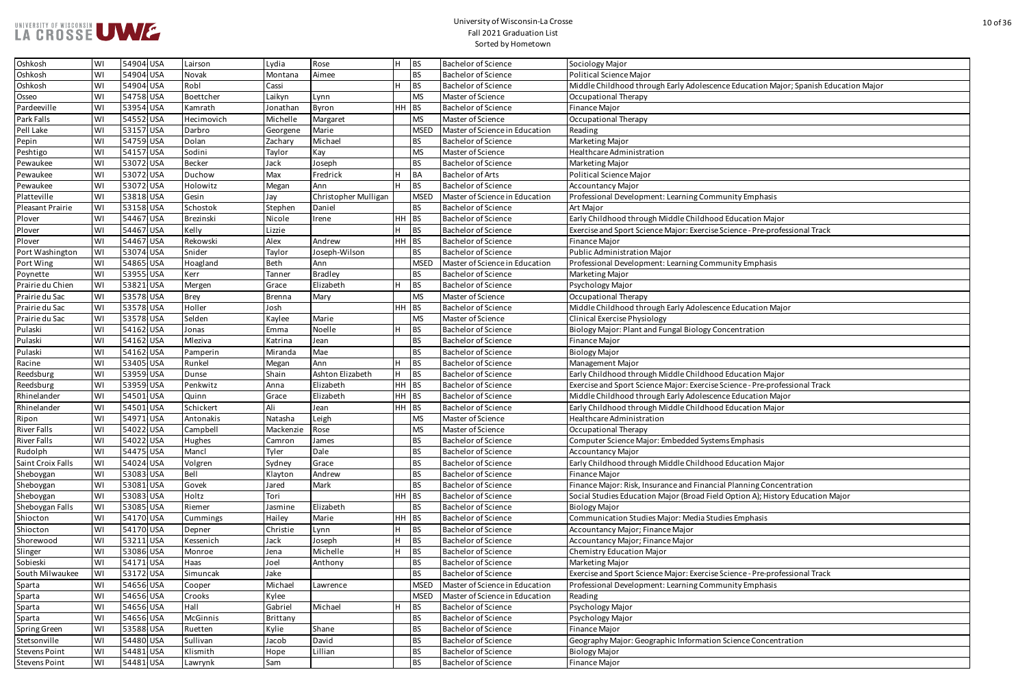| Oshkosh              | WI | 54904 USA | Lairson       | Lydia         | Rose                 |       | BS          | <b>Bachelor of Science</b>     | Sociology Major                                                                     |
|----------------------|----|-----------|---------------|---------------|----------------------|-------|-------------|--------------------------------|-------------------------------------------------------------------------------------|
| Oshkosh              | WI | 54904 USA | Novak         | Montana       | Aimee                |       | <b>BS</b>   | <b>Bachelor of Science</b>     | Political Science Major                                                             |
| Oshkosh              | WI | 54904 USA | Robl          | Cassi         |                      |       | <b>BS</b>   | <b>Bachelor of Science</b>     | Middle Childhood through Early Adolescence Education Major; Spanish Education Major |
| Osseo                | WI | 54758 USA | Boettcher     | Laikyn        | Lynn                 |       | <b>MS</b>   | Master of Science              | Occupational Therapy                                                                |
| Pardeeville          | WI | 53954 USA | Kamrath       | Jonathan      | Byron                | HH BS |             | <b>Bachelor of Science</b>     | <b>Finance Major</b>                                                                |
| Park Falls           | WI | 54552 USA | Hecimovich    | Michelle      | Margaret             |       | <b>MS</b>   | Master of Science              | Occupational Therapy                                                                |
| Pell Lake            | WI | 53157 USA | Darbro        | Georgene      | Marie                |       | <b>MSED</b> | Master of Science in Education | Reading                                                                             |
| Pepin                | WI | 54759 USA | Dolan         | Zachary       | Michael              |       | <b>BS</b>   | <b>Bachelor of Science</b>     | Marketing Major                                                                     |
| Peshtigo             | WI | 54157 USA | Sodini        | Taylor        | Kay                  |       | <b>MS</b>   | Master of Science              | Healthcare Administration                                                           |
| Pewaukee             | WI | 53072 USA | <b>Becker</b> | Jack          | Joseph               |       | <b>BS</b>   | <b>Bachelor of Science</b>     | Marketing Major                                                                     |
| Pewaukee             | WI | 53072 USA | Duchow        | Max           | Fredrick             |       | <b>BA</b>   | <b>Bachelor of Arts</b>        | Political Science Major                                                             |
| Pewaukee             | WI | 53072 USA | Holowitz      | Megan         | Ann                  |       | <b>BS</b>   | <b>Bachelor of Science</b>     | <b>Accountancy Major</b>                                                            |
| Platteville          | WI | 53818 USA | Gesin         | Jay           | Christopher Mulligan |       | <b>MSED</b> | Master of Science in Education | Professional Development: Learning Community Emphasis                               |
| Pleasant Prairie     | WI | 53158 USA | Schostok      | Stephen       | Daniel               |       | <b>BS</b>   | <b>Bachelor of Science</b>     | Art Major                                                                           |
| Plover               | WI | 54467 USA | Brezinski     | Nicole        | Irene                | HH BS |             | <b>Bachelor of Science</b>     | Early Childhood through Middle Childhood Education Major                            |
| Plover               | WI | 54467 USA | Kelly         | Lizzie        |                      |       | BS          | <b>Bachelor of Science</b>     | Exercise and Sport Science Major: Exercise Science - Pre-professional Track         |
| Plover               | WI | 54467 USA | Rekowski      | Alex          | Andrew               | HH BS |             | <b>Bachelor of Science</b>     | Finance Major                                                                       |
| Port Washington      | WI | 53074 USA | Snider        | Taylor        | Joseph-Wilson        |       | <b>BS</b>   | <b>Bachelor of Science</b>     | Public Administration Major                                                         |
| Port Wing            | WI | 54865 USA | Hoagland      | Beth          | Ann                  |       | <b>MSED</b> | Master of Science in Education | Professional Development: Learning Community Emphasis                               |
| Poynette             | WI | 53955 USA | Kerr          | Tanner        | <b>Bradley</b>       |       | <b>BS</b>   | <b>Bachelor of Science</b>     | Marketing Major                                                                     |
| Prairie du Chien     | WI | 53821 USA | Mergen        | Grace         | Elizabeth            |       | <b>BS</b>   | <b>Bachelor of Science</b>     | Psychology Major                                                                    |
| Prairie du Sac       | WI | 53578 USA | <b>Brey</b>   | <b>Brenna</b> | Mary                 |       | <b>MS</b>   | Master of Science              | Occupational Therapy                                                                |
| Prairie du Sac       | WI | 53578 USA | Holler        | Josh          |                      | HН    | $ _{BS}$    | <b>Bachelor of Science</b>     | Middle Childhood through Early Adolescence Education Major                          |
| Prairie du Sac       | WI | 53578 USA | Selden        | Kaylee        | Marie                |       | <b>MS</b>   | Master of Science              | <b>Clinical Exercise Physiology</b>                                                 |
| Pulaski              | WI | 54162 USA | Jonas         | Emma          | Noelle               |       | <b>BS</b>   | <b>Bachelor of Science</b>     | Biology Major: Plant and Fungal Biology Concentration                               |
| Pulaski              | WI | 54162 USA | Mleziva       | Katrina       | Jean                 |       | <b>BS</b>   | <b>Bachelor of Science</b>     | Finance Major                                                                       |
| Pulaski              | WI | 54162 USA | Pamperin      | Miranda       | Mae                  |       | <b>BS</b>   | <b>Bachelor of Science</b>     | <b>Biology Major</b>                                                                |
| Racine               | WI | 53405 USA | Runkel        | Megan         | Ann                  |       | BS          | <b>Bachelor of Science</b>     | Management Major                                                                    |
| Reedsburg            | WI | 53959 USA | Dunse         | Shain         | Ashton Elizabeth     |       | BS          | <b>Bachelor of Science</b>     | Early Childhood through Middle Childhood Education Major                            |
| Reedsburg            | WI | 53959 USA | Penkwitz      | Anna          | Elizabeth            | HH BS |             | <b>Bachelor of Science</b>     | Exercise and Sport Science Major: Exercise Science - Pre-professional Track         |
| Rhinelander          | WI | 54501 USA | Quinn         | Grace         | Elizabeth            | HH BS |             | <b>Bachelor of Science</b>     | Middle Childhood through Early Adolescence Education Major                          |
| Rhinelander          | WI | 54501 USA | Schickert     | Ali           | Jean                 | HH BS |             | <b>Bachelor of Science</b>     | Early Childhood through Middle Childhood Education Major                            |
| Ripon                | WI | 54971 USA | Antonakis     | Natasha       | Leigh                |       | <b>MS</b>   | Master of Science              | Healthcare Administration                                                           |
| <b>River Falls</b>   | WI | 54022 USA | Campbell      | Mackenzie     | Rose                 |       | <b>MS</b>   | Master of Science              | Occupational Therapy                                                                |
| <b>River Falls</b>   | WI | 54022 USA | Hughes        | Camron        | James                |       | <b>BS</b>   | <b>Bachelor of Science</b>     | Computer Science Major: Embedded Systems Emphasis                                   |
| Rudolph              | WI | 54475 USA | Mancl         | Tyler         | Dale                 |       | <b>BS</b>   | <b>Bachelor of Science</b>     | <b>Accountancy Major</b>                                                            |
| Saint Croix Falls    | WI | 54024 USA | Volgren       | Sydney        | Grace                |       | <b>BS</b>   | <b>Bachelor of Science</b>     | Early Childhood through Middle Childhood Education Major                            |
| Sheboygan            | WI | 53083 USA | <b>Bell</b>   | Klayton       | Andrew               |       | <b>BS</b>   | <b>Bachelor of Science</b>     | Finance Major                                                                       |
| Sheboygan            | WI | 53081 USA | Govek         | Jared         | Mark                 |       | <b>BS</b>   | <b>Bachelor of Science</b>     | Finance Major: Risk, Insurance and Financial Planning Concentration                 |
| Sheboygan            | WI | 53083 USA | Holtz         | Tori          |                      | HH BS |             | <b>Bachelor of Science</b>     | Social Studies Education Major (Broad Field Option A); History Education Major      |
| Sheboygan Falls      | WI | 53085 USA | Riemer        | Jasmine       | Elizabeth            |       | <b>BS</b>   | <b>Bachelor of Science</b>     | <b>Biology Major</b>                                                                |
| Shiocton             | WI | 54170 USA | Cummings      | Hailey        | Marie                | HH BS |             | <b>Bachelor of Science</b>     | Communication Studies Major: Media Studies Emphasis                                 |
| Shiocton             | WI | 54170 USA | Depner        | Christie      |                      |       | BS          | <b>Bachelor of Science</b>     | Accountancy Major; Finance Major                                                    |
| Shorewood            | WI | 53211 USA | Kessenich     | Jack          | Lynn                 |       | <b>BS</b>   | <b>Bachelor of Science</b>     | Accountancy Major; Finance Major                                                    |
| Slinger              | WI | 53086 USA | Monroe        |               | Joseph<br>Michelle   |       | BS          | <b>Bachelor of Science</b>     | <b>Chemistry Education Major</b>                                                    |
| Sobieski             | WI | 54171 USA | Haas          | Jena          |                      |       | <b>BS</b>   | <b>Bachelor of Science</b>     | <b>Marketing Major</b>                                                              |
| South Milwaukee      |    | 53172 USA |               | Joel          | Anthony              |       | <b>BS</b>   | <b>Bachelor of Science</b>     | Exercise and Sport Science Major: Exercise Science - Pre-professional Track         |
|                      | WI |           | Simuncak      | Jake          |                      |       |             |                                |                                                                                     |
| Sparta               | WI | 54656 USA | Cooper        | Michael       | Lawrence             |       | <b>MSED</b> | Master of Science in Education | Professional Development: Learning Community Emphasis                               |
| Sparta               | WI | 54656 USA | Crooks        | Kylee         |                      |       | <b>MSED</b> | Master of Science in Education | Reading                                                                             |
| Sparta               | WI | 54656 USA | Hall          | Gabriel       | Michael              |       | <b>BS</b>   | <b>Bachelor of Science</b>     | Psychology Major                                                                    |
| Sparta               | WI | 54656 USA | McGinnis      | Brittany      |                      |       | <b>BS</b>   | <b>Bachelor of Science</b>     | Psychology Major                                                                    |
| Spring Green         | WI | 53588 USA | Ruetten       | Kylie         | Shane                |       | <b>BS</b>   | <b>Bachelor of Science</b>     | <b>Finance Major</b>                                                                |
| Stetsonville         | WI | 54480 USA | Sullivan      | Jacob         | David                |       | <b>BS</b>   | <b>Bachelor of Science</b>     | Geography Major: Geographic Information Science Concentration                       |
| <b>Stevens Point</b> | WI | 54481 USA | Klismith      | Hope          | Lillian              |       | <b>BS</b>   | <b>Bachelor of Science</b>     | <b>Biology Major</b>                                                                |
| <b>Stevens Point</b> | WI | 54481 USA | Lawrynk       | Sam           |                      |       | <b>BS</b>   | <b>Bachelor of Science</b>     | Finance Major                                                                       |

| nce Education Major; Spanish Education Major |
|----------------------------------------------|
|                                              |
|                                              |
|                                              |
|                                              |
|                                              |
|                                              |
|                                              |
|                                              |
| munity Emphasis                              |
|                                              |
| od Education Major                           |
| e Science - Pre-professional Track           |
|                                              |
|                                              |
| munity Emphasis                              |
|                                              |
|                                              |
|                                              |
| nce Education Major                          |
|                                              |
| concentration                                |
|                                              |
|                                              |
|                                              |
| od Education Major                           |
| e Science - Pre-professional Track           |
| <b>nce Education Major</b>                   |
| od Education Major                           |
|                                              |
|                                              |
| ems Emphasis                                 |
|                                              |
| od Education Major                           |
|                                              |
| ial Planning Concentration                   |
| Id Option A); History Education Major        |
|                                              |
| dies Emphasis                                |
|                                              |
|                                              |
|                                              |
|                                              |
| e Science - Pre-professional Track           |
| munity Emphasis                              |
|                                              |
|                                              |
|                                              |
|                                              |
| n Science Concentration                      |
|                                              |
|                                              |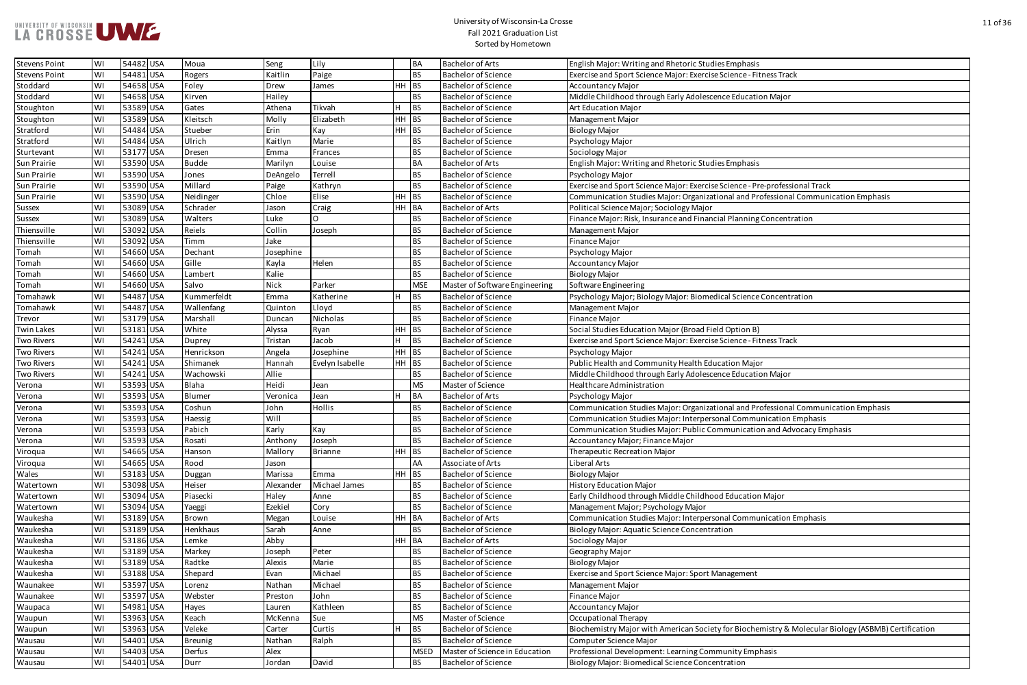

| lies Emphasis                                                 |
|---------------------------------------------------------------|
| e Science - Fitness Track                                     |
|                                                               |
| ence Education Major                                          |
|                                                               |
|                                                               |
|                                                               |
|                                                               |
|                                                               |
| lies Emphasis                                                 |
|                                                               |
|                                                               |
| e Science - Pre-professional Track                            |
| tional and Professional Communication Emphasis                |
|                                                               |
| cial Planning Concentration                                   |
|                                                               |
|                                                               |
|                                                               |
|                                                               |
|                                                               |
|                                                               |
| dical Science Concentration                                   |
|                                                               |
|                                                               |
| eld Option B)                                                 |
| e Science - Fitness Track                                     |
|                                                               |
|                                                               |
| ucation Major                                                 |
| ence Education Major                                          |
|                                                               |
|                                                               |
| tional and Professional Communication Emphasis                |
| sonal Communication Emphasis                                  |
| ommunication and Advocacy Emphasis                            |
|                                                               |
|                                                               |
|                                                               |
|                                                               |
|                                                               |
| od Education Major                                            |
|                                                               |
| sonal Communication Emphasis                                  |
| ation                                                         |
|                                                               |
|                                                               |
|                                                               |
|                                                               |
| Management                                                    |
|                                                               |
|                                                               |
|                                                               |
|                                                               |
| ty for Biochemistry & Molecular Biology (ASBMB) Certification |
|                                                               |
| nmunity Emphasis                                              |
| entration                                                     |

| <b>Stevens Point</b> | WI | 54482 USA | Moua           | Seng              | Lily            |           | <b>BA</b>   | <b>Bachelor of Arts</b>        | English Major: Writing and Rhetoric Studies Emphasis                                                |
|----------------------|----|-----------|----------------|-------------------|-----------------|-----------|-------------|--------------------------------|-----------------------------------------------------------------------------------------------------|
| <b>Stevens Point</b> | WI | 54481 USA | Rogers         | Kaitlin           | Paige           | <b>BS</b> |             | <b>Bachelor of Science</b>     | Exercise and Sport Science Major: Exercise Science - Fitness Track                                  |
| Stoddard             | WI | 54658 USA | Foley          | Drew              | James           | HH BS     |             | <b>Bachelor of Science</b>     | <b>Accountancy Major</b>                                                                            |
| Stoddard             | WI | 54658 USA | Kirven         | Hailey            |                 |           | <b>BS</b>   | <b>Bachelor of Science</b>     | Middle Childhood through Early Adolescence Education Major                                          |
| Stoughton            | WI | 53589 USA | Gates          | Athena            | H<br>Tikvah     |           | BS          | <b>Bachelor of Science</b>     | <b>Art Education Major</b>                                                                          |
| Stoughton            | WI | 53589 USA | Kleitsch       | Molly             | Elizabeth       | HH BS     |             | <b>Bachelor of Science</b>     | Management Major                                                                                    |
| Stratford            | WI | 54484 USA | Stueber        | Erin              | Kay             | HH BS     |             | <b>Bachelor of Science</b>     | <b>Biology Major</b>                                                                                |
| Stratford            | WI | 54484 USA | Ulrich         | Kaitlyn           | Marie           |           | <b>BS</b>   | <b>Bachelor of Science</b>     | Psychology Major                                                                                    |
| Sturtevant           | WI | 53177 USA | Dresen         | Emma              | Frances         |           | <b>BS</b>   | <b>Bachelor of Science</b>     | Sociology Major                                                                                     |
| Sun Prairie          | WI | 53590 USA | <b>Budde</b>   | Marilyn           | Louise          |           | <b>BA</b>   | <b>Bachelor of Arts</b>        | English Major: Writing and Rhetoric Studies Emphasis                                                |
| Sun Prairie          | WI | 53590 USA | Jones          | DeAngelo          | Terrell         |           | <b>BS</b>   | <b>Bachelor of Science</b>     | Psychology Major                                                                                    |
| Sun Prairie          | WI | 53590 USA | Millard        | Paige             | Kathryn         |           | <b>BS</b>   | <b>Bachelor of Science</b>     | Exercise and Sport Science Major: Exercise Science - Pre-professional Track                         |
| Sun Prairie          | WI | 53590 USA | Neidinger      | Chloe             | Elise           | $HH$ BS   |             | <b>Bachelor of Science</b>     | Communication Studies Major: Organizational and Professional Communication Emphasis                 |
| <b>Sussex</b>        | WI | 53089 USA | Schrader       | Jason             | Craig           | HH BA     |             | <b>Bachelor of Arts</b>        | Political Science Major; Sociology Major                                                            |
| <b>Sussex</b>        | WI | 53089 USA | Walters        | Luke              |                 |           | <b>BS</b>   | <b>Bachelor of Science</b>     | Finance Major: Risk, Insurance and Financial Planning Concentration                                 |
| Thiensville          | WI | 53092 USA | Reiels         | Collin            | Joseph          |           | <b>BS</b>   | <b>Bachelor of Science</b>     | Management Major                                                                                    |
| Thiensville          | WI | 53092 USA | Timm           | Jake              |                 |           | <b>BS</b>   | <b>Bachelor of Science</b>     | Finance Major                                                                                       |
| Tomah                | WI | 54660 USA | Dechant        | Josephine         |                 |           | <b>BS</b>   | <b>Bachelor of Science</b>     | Psychology Major                                                                                    |
| Tomah                | WI | 54660 USA | Gille          | Kayla             | Helen           |           | <b>BS</b>   | <b>Bachelor of Science</b>     | <b>Accountancy Major</b>                                                                            |
| Tomah                | WI | 54660 USA | Lambert        | Kalie             |                 |           | <b>BS</b>   | <b>Bachelor of Science</b>     | <b>Biology Major</b>                                                                                |
| Tomah                | WI | 54660 USA | Salvo          | Nick              | Parker          |           | <b>MSE</b>  | Master of Software Engineering | Software Engineering                                                                                |
| Tomahawk             | WI | 54487 USA | Kummerfeldt    | Emma              | Katherine<br>H  |           | <b>BS</b>   | <b>Bachelor of Science</b>     | Psychology Major; Biology Major: Biomedical Science Concentration                                   |
| Tomahawk             | WI | 54487 USA | Wallenfang     | Quinton           | Lloyd           |           | <b>BS</b>   | <b>Bachelor of Science</b>     | Management Major                                                                                    |
| Trevor               | WI | 53179 USA | Marshall       | Duncan            | Nicholas        |           | <b>BS</b>   | <b>Bachelor of Science</b>     | <b>Finance Major</b>                                                                                |
| <b>Twin Lakes</b>    | WI | 53181 USA | White          | Alyssa            | Ryan            | $HH$ BS   |             | <b>Bachelor of Science</b>     | Social Studies Education Major (Broad Field Option B)                                               |
| <b>Two Rivers</b>    | WI | 54241 USA | <b>Duprey</b>  | Tristan           | Jacob           | H         | BS          | <b>Bachelor of Science</b>     | Exercise and Sport Science Major: Exercise Science - Fitness Track                                  |
| <b>Two Rivers</b>    | WI | 54241 USA | Henrickson     | Angela            | Josephine       | HH BS     |             | <b>Bachelor of Science</b>     | Psychology Major                                                                                    |
| <b>Two Rivers</b>    | WI | 54241 USA | Shimanek       | Hannah            | Evelyn Isabelle | HH BS     |             | <b>Bachelor of Science</b>     | Public Health and Community Health Education Major                                                  |
| <b>Two Rivers</b>    | WI | 54241 USA | Wachowski      | Allie             |                 |           | <b>BS</b>   | <b>Bachelor of Science</b>     | Middle Childhood through Early Adolescence Education Major                                          |
| Verona               | WI | 53593 USA | Blaha          | Heidi             | Jean            |           | <b>MS</b>   | Master of Science              | Healthcare Administration                                                                           |
| Verona               | WI | 53593 USA | Blumer         | Veronica          | Jean            |           | BA          | <b>Bachelor of Arts</b>        | Psychology Major                                                                                    |
| Verona               | WI | 53593 USA | Coshun         | John              | <b>Hollis</b>   |           | <b>BS</b>   | <b>Bachelor of Science</b>     | Communication Studies Major: Organizational and Professional Communication Emphasis                 |
| Verona               | WI | 53593 USA | Haessig        | Will              |                 |           | <b>BS</b>   | <b>Bachelor of Science</b>     | Communication Studies Major: Interpersonal Communication Emphasis                                   |
| Verona               | WI | 53593 USA | Pabich         | Karly             | Kay             |           | <b>BS</b>   | <b>Bachelor of Science</b>     | Communication Studies Major: Public Communication and Advocacy Emphasis                             |
| Verona               | WI | 53593 USA | Rosati         | Anthony           | Joseph          |           | <b>BS</b>   | <b>Bachelor of Science</b>     | Accountancy Major; Finance Major                                                                    |
| Viroqua              | WI | 54665 USA | Hanson         | Mallory           | <b>Brianne</b>  | $HH$ BS   |             | <b>Bachelor of Science</b>     | Therapeutic Recreation Major                                                                        |
| Viroqua              | WI | 54665 USA | Rood           | Jason             |                 |           | AA          | Associate of Arts              | Liberal Arts                                                                                        |
| Wales                | WI | 53183 USA | Duggan         | Marissa           | Emma            | HH BS     |             | <b>Bachelor of Science</b>     | <b>Biology Major</b>                                                                                |
| Watertown            | WI | 53098 USA | Heiser         | Alexander         | Michael James   |           | <b>BS</b>   | <b>Bachelor of Science</b>     | <b>History Education Major</b>                                                                      |
| Watertown            | WI | 53094 USA | Piasecki       | Haley             | Anne            |           | <b>BS</b>   | <b>Bachelor of Science</b>     | Early Childhood through Middle Childhood Education Major                                            |
| Watertown            | WI | 53094 USA | Yaeggi         | Ezekiel           | Cory            |           | <b>BS</b>   | <b>Bachelor of Science</b>     | Management Major; Psychology Major                                                                  |
| Waukesha             | WI | 53189 USA | <b>Brown</b>   | Megan             | Louise          | HH BA     |             | <b>Bachelor of Arts</b>        | Communication Studies Major: Interpersonal Communication Emphasis                                   |
| Waukesha             | WI | 53189 USA | Henkhaus       | Sarah             | Anne            |           | <b>BS</b>   | <b>Bachelor of Science</b>     | Biology Major: Aquatic Science Concentration                                                        |
| Waukesha             | WI | 53186 USA | Lemke          | Abby              |                 | HH BA     |             | <b>Bachelor of Arts</b>        | Sociology Major                                                                                     |
| Waukesha             | WI | 53189 USA | Markey         | Joseph            | Peter           |           | <b>BS</b>   | <b>Bachelor of Science</b>     | Geography Major                                                                                     |
| Waukesha             | WI | 53189 USA | Radtke         | Alexis            | Marie           |           | <b>BS</b>   | <b>Bachelor of Science</b>     | <b>Biology Major</b>                                                                                |
| Waukesha             | WI | 53188 USA | Shepard        | Evan              | Michael         |           | <b>BS</b>   | <b>Bachelor of Science</b>     | Exercise and Sport Science Major: Sport Management                                                  |
| Waunakee             | WI | 53597 USA | Lorenz         | Nathan            | Michael         |           | <b>BS</b>   | <b>Bachelor of Science</b>     | Management Major                                                                                    |
| Waunakee             | WI | 53597 USA | Webster        | Preston           | John            |           | <b>BS</b>   | <b>Bachelor of Science</b>     | Finance Major                                                                                       |
|                      | WI | 54981 USA |                |                   | Kathleen        |           | <b>BS</b>   | <b>Bachelor of Science</b>     | <b>Accountancy Major</b>                                                                            |
| Waupaca              | WI | 53963 USA | Hayes<br>Keach | Lauren<br>McKenna | Sue             |           | <b>MS</b>   | Master of Science              | Occupational Therapy                                                                                |
| Waupun               | WI | 53963 USA | Veleke         |                   | Curtis<br>H     |           | BS          | <b>Bachelor of Science</b>     | Biochemistry Major with American Society for Biochemistry & Molecular Biology (ASBMB) Certification |
| Waupun<br>Wausau     | WI | 54401 USA | Breunig        | Carter<br>Nathan  | Ralph           |           | <b>BS</b>   | <b>Bachelor of Science</b>     | Computer Science Major                                                                              |
|                      |    | 54403 USA | Derfus         |                   |                 |           | <b>MSED</b> | Master of Science in Education |                                                                                                     |
| Wausau               | WI |           |                | Alex              |                 |           |             |                                | Professional Development: Learning Community Emphasis                                               |
| Wausau               | WI | 54401 USA | Durr           | Jordan            | David           |           | <b>BS</b>   | <b>Bachelor of Science</b>     | <b>Biology Major: Biomedical Science Concentration</b>                                              |